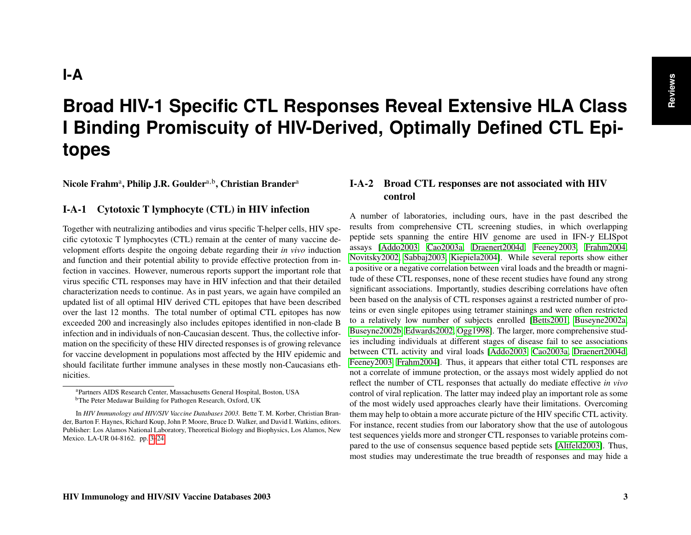# <span id="page-0-1"></span>**Broad HIV-1 Specific CTL Responses Reveal Extensive HLA Class I Binding Promiscuity of HIV-Derived, Optimally Defined CTL Epitopes**

<span id="page-0-0"></span>Nicole Frahm<sup>a</sup>, Philip J.R. Goulder<sup>a,b</sup>, Christian Brander<sup>a</sup>

#### I-A-1 Cytotoxic T lymphocyte (CTL) in HIV infection

Together with neutralizing antibodies and virus specific T-helper cells, HIV specific cytotoxic T lymphocytes (CTL) remain at the center of many vaccine development efforts despite the ongoing debate regarding their *in vivo* induction and function and their potential ability to provide effective protection from infection in vaccines. However, numerous reports support the important role that virus specific CTL responses may have in HIV infection and that their detailed characterization needs to continue. As in past years, we again have compiled an updated list of all optimal HIV derived CTL epitopes that have been described over the last 12 months. The total number of optimal CTL epitopes has now exceeded 200 and increasingly also includes epitopes identified in non-clade B infection and in individuals of non-Caucasian descent. Thus, the collective information on the specificity of these HIV directed responses is of growing relevance for vaccine development in populations most affected by the HIV epidemic and should facilitate further immune analyses in these mostly non-Caucasians ethnicities.

#### I-A-2 Broad CTL responses are not associated with HIV control

A number of laboratories, including ours, have in the past described the results from comprehensive CTL screening studies, in which overlapping peptide sets spanning the entire HIV genome are used in IFN-γ ELISpot assays [\[Addo2003,](#page-15-0) [Cao2003a,](#page-16-0) [Draenert2004d,](#page-16-1) [Feeney2003,](#page-17-0) [Frahm2004,](#page-17-1) [Novitsky2002,](#page-19-0) [Sabbaj2003,](#page-19-1) [Kiepiela2004\]](#page-18-0). While several reports show either a positive or a negative correlation between viral loads and the breadth or magnitude of these CTL responses, none of these recent studies have found any strong significant associations. Importantly, studies describing correlations have often been based on the analysis of CTL responses against a restricted number of proteins or even single epitopes using tetramer stainings and were often restricted to a relatively low number of subjects enrolled [\[Betts2001,](#page-15-1) [Buseyne2002a,](#page-16-2) [Buseyne2002b,](#page-16-3) [Edwards2002,](#page-16-4) [Ogg1998\]](#page-19-2). The larger, more comprehensive studies including individuals at different stages of disease fail to see associations between CTL activity and viral loads [\[Addo2003,](#page-15-0) [Cao2003a,](#page-16-0) [Draenert2004d,](#page-16-1) [Feeney2003,](#page-17-0) [Frahm2004\]](#page-17-1). Thus, it appears that either total CTL responses are not a correlate of immune protection, or the assays most widely applied do not reflect the number of CTL responses that actually do mediate effective *in vivo* control of viral replication. The latter may indeed play an important role as some of the most widely used approaches clearly have their limitations. Overcoming them may help to obtain a more accurate picture of the HIV specific CTL activity. For instance, recent studies from our laboratory show that the use of autologous test sequences yields more and stronger CTL responses to variable proteins compared to the use of consensus sequence based peptide sets [\[Altfeld2003\]](#page-15-2). Thus, most studies may underestimate the true breadth of responses and may hide a

<sup>a</sup>Partners AIDS Research Center, Massachusetts General Hospital, Boston, USA

<sup>b</sup>The Peter Medawar Building for Pathogen Research, Oxford, UK

In *HIV Immunology and HIV/SIV Vaccine Databases 2003.* Bette T. M. Korber, Christian Brander, Barton F. Haynes, Richard Koup, John P. Moore, Bruce D. Walker, and David I. Watkins, editors. Publisher: Los Alamos National Laboratory, Theoretical Biology and Biophysics, Los Alamos, New Mexico. LA-UR 04-8162. pp. [3–](#page-0-0)[24.](#page-21-0)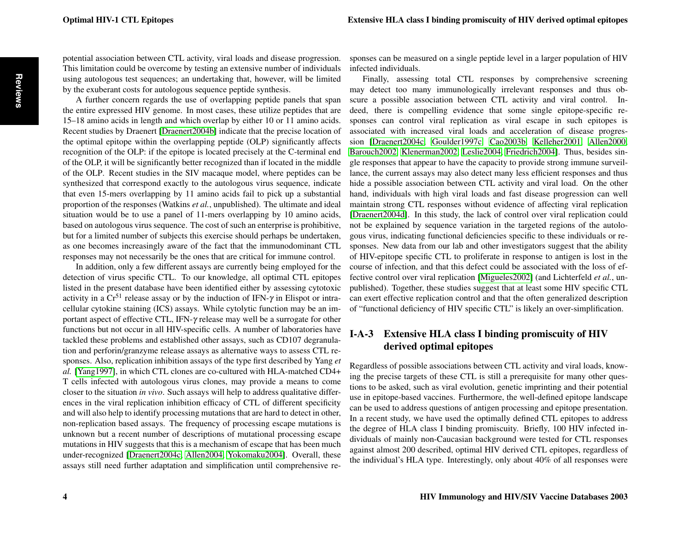<span id="page-1-0"></span>potential association between CTL activity, viral loads and disease progression. This limitation could be overcome by testing an extensive number of individuals using autologous test sequences; an undertaking that, however, will be limited by the exuberant costs for autologous sequence peptide synthesis.

A further concern regards the use of overlapping peptide panels that span the entire expressed HIV genome. In most cases, these utilize peptides that are 15–18 amino acids in length and which overlap by either 10 or 11 amino acids. Recent studies by Draenert [\[Draenert2004b\]](#page-16-5) indicate that the precise location of the optimal epitope within the overlapping peptide (OLP) significantly affects recognition of the OLP: if the epitope is located precisely at the C-terminal end of the OLP, it will be significantly better recognized than if located in the middle of the OLP. Recent studies in the SIV macaque model, where peptides can be synthesized that correspond exactly to the autologous virus sequence, indicate that even 15-mers overlapping by 11 amino acids fail to pick up a substantial proportion of the responses (Watkins *et al.*, unpublished). The ultimate and ideal situation would be to use a panel of 11-mers overlapping by 10 amino acids, based on autologous virus sequence. The cost of such an enterprise is prohibitive, but for a limited number of subjects this exercise should perhaps be undertaken, as one becomes increasingly aware of the fact that the immunodominant CTL responses may not necessarily be the ones that are critical for immune control.

In addition, only a few different assays are currently being employed for the detection of virus specific CTL. To our knowledge, all optimal CTL epitopes listed in the present database have been identified either by assessing cytotoxic activity in a  $Cr^{51}$  release assay or by the induction of IFN- $\gamma$  in Elispot or intracellular cytokine staining (ICS) assays. While cytolytic function may be an important aspect of effective CTL, IFN-γ release may well be a surrogate for other functions but not occur in all HIV-specific cells. A number of laboratories have tackled these problems and established other assays, such as CD107 degranulation and perforin/granzyme release assays as alternative ways to assess CTL responses. Also, replication inhibition assays of the type first described by Yang *et al.* [\[Yang1997\]](#page-20-0), in which CTL clones are co-cultured with HLA-matched CD4+ T cells infected with autologous virus clones, may provide a means to come closer to the situation *in vivo*. Such assays will help to address qualitative differences in the viral replication inhibition efficacy of CTL of different specificity and will also help to identify processing mutations that are hard to detect in other, non-replication based assays. The frequency of processing escape mutations is unknown but a recent number of descriptions of mutational processing escape mutations in HIV suggests that this is a mechanism of escape that has been much under-recognized [\[Draenert2004c,](#page-16-6) [Allen2004,](#page-15-3) [Yokomaku2004\]](#page-20-1). Overall, these assays still need further adaptation and simplification until comprehensive re-

sponses can be measured on a single peptide level in a larger population of HIV infected individuals.

Finally, assessing total CTL responses by comprehensive screening may detect too many immunologically irrelevant responses and thus obscure a possible association between CTL activity and viral control. Indeed, there is compelling evidence that some single epitope-specific responses can control viral replication as viral escape in such epitopes is associated with increased viral loads and acceleration of disease progression [\[Draenert2004c,](#page-16-6) [Goulder1997c,](#page-17-2) [Cao2003b,](#page-16-7) [Kelleher2001,](#page-18-1) [Allen2000,](#page-15-4) [Barouch2002,](#page-15-5) [Klenerman2002,](#page-18-2) [Leslie2004,](#page-18-3) [Friedrich2004\]](#page-17-3). Thus, besides single responses that appear to have the capacity to provide strong immune surveillance, the current assays may also detect many less efficient responses and thus hide a possible association between CTL activity and viral load. On the other hand, individuals with high viral loads and fast disease progression can well maintain strong CTL responses without evidence of affecting viral replication [\[Draenert2004d\]](#page-16-1). In this study, the lack of control over viral replication could not be explained by sequence variation in the targeted regions of the autologous virus, indicating functional deficiencies specific to these individuals or responses. New data from our lab and other investigators suggest that the ability of HIV-epitope specific CTL to proliferate in response to antigen is lost in the course of infection, and that this defect could be associated with the loss of effective control over viral replication [\[Migueles2002\]](#page-19-3) (and Lichterfeld *et al.*, unpublished). Together, these studies suggest that at least some HIV specific CTL can exert effective replication control and that the often generalized description of "functional deficiency of HIV specific CTL" is likely an over-simplification.

# I-A-3 Extensive HLA class I binding promiscuity of HIV derived optimal epitopes

Regardless of possible associations between CTL activity and viral loads, knowing the precise targets of these CTL is still a prerequisite for many other questions to be asked, such as viral evolution, genetic imprinting and their potential use in epitope-based vaccines. Furthermore, the well-defined epitope landscape can be used to address questions of antigen processing and epitope presentation. In a recent study, we have used the optimally defined CTL epitopes to address the degree of HLA class I binding promiscuity. Briefly, 100 HIV infected individuals of mainly non-Caucasian background were tested for CTL responses against almost 200 described, optimal HIV derived CTL epitopes, regardless of the individual's HLA type. Interestingly, only about 40% of all responses were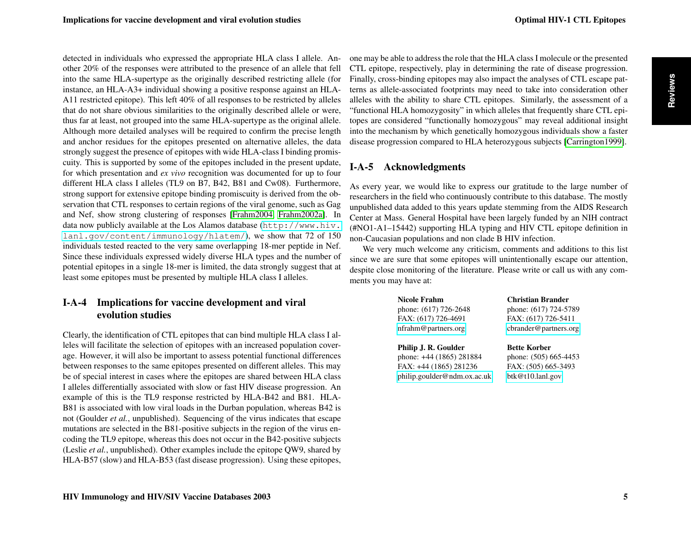<span id="page-2-0"></span>detected in individuals who expressed the appropriate HLA class I allele. Another 20% of the responses were attributed to the presence of an allele that fell into the same HLA-supertype as the originally described restricting allele (for instance, an HLA-A3+ individual showing a positive response against an HLA-A11 restricted epitope). This left 40% of all responses to be restricted by alleles that do not share obvious similarities to the originally described allele or were, thus far at least, not grouped into the same HLA-supertype as the original allele. Although more detailed analyses will be required to confirm the precise length and anchor residues for the epitopes presented on alternative alleles, the data strongly suggest the presence of epitopes with wide HLA-class I binding promiscuity. This is supported by some of the epitopes included in the present update, for which presentation and *ex vivo* recognition was documented for up to four different HLA class I alleles (TL9 on B7, B42, B81 and Cw08). Furthermore, strong support for extensive epitope binding promiscuity is derived from the observation that CTL responses to certain regions of the viral genome, such as Gag and Nef, show strong clustering of responses [\[Frahm2004,](#page-17-1) [Frahm2002a\]](#page-17-4). In data now publicly available at the Los Alamos database ([http://www.hiv.](http://www.hiv.lanl.gov/content/immunology/hlatem/) [lanl.gov/content/immunology/hlatem/](http://www.hiv.lanl.gov/content/immunology/hlatem/)), we show that 72 of 150 individuals tested reacted to the very same overlapping 18-mer peptide in Nef. Since these individuals expressed widely diverse HLA types and the number of potential epitopes in a single 18-mer is limited, the data strongly suggest that at least some epitopes must be presented by multiple HLA class I alleles.

# I-A-4 Implications for vaccine development and viral evolution studies

Clearly, the identification of CTL epitopes that can bind multiple HLA class I alleles will facilitate the selection of epitopes with an increased population coverage. However, it will also be important to assess potential functional differences between responses to the same epitopes presented on different alleles. This may be of special interest in cases where the epitopes are shared between HLA class I alleles differentially associated with slow or fast HIV disease progression. An example of this is the TL9 response restricted by HLA-B42 and B81. HLA-B81 is associated with low viral loads in the Durban population, whereas B42 is not (Goulder *et al.*, unpublished). Sequencing of the virus indicates that escape mutations are selected in the B81-positive subjects in the region of the virus encoding the TL9 epitope, whereas this does not occur in the B42-positive subjects (Leslie *et al.*, unpublished). Other examples include the epitope QW9, shared by HLA-B57 (slow) and HLA-B53 (fast disease progression). Using these epitopes,

one may be able to address the role that the HLA class I molecule or the presented CTL epitope, respectively, play in determining the rate of disease progression. Finally, cross-binding epitopes may also impact the analyses of CTL escape patterns as allele-associated footprints may need to take into consideration other alleles with the ability to share CTL epitopes. Similarly, the assessment of a "functional HLA homozygosity" in which alleles that frequently share CTL epitopes are considered "functionally homozygous" may reveal additional insight into the mechanism by which genetically homozygous individuals show a faster disease progression compared to HLA heterozygous subjects [\[Carrington1999\]](#page-16-8).

# I-A-5 Acknowledgments

As every year, we would like to express our gratitude to the large number of researchers in the field who continuously contribute to this database. The mostly unpublished data added to this years update stemming from the AIDS Research Center at Mass. General Hospital have been largely funded by an NIH contract (#NO1-A1–15442) supporting HLA typing and HIV CTL epitope definition in non-Caucasian populations and non clade B HIV infection.

We very much welcome any criticism, comments and additions to this list since we are sure that some epitopes will unintentionally escape our attention, despite close monitoring of the literature. Please write or call us with any comments you may have at:

| Nicole Frahm                                                               | <b>Christian Brander</b> |  |
|----------------------------------------------------------------------------|--------------------------|--|
| phone: (617) 726-2648                                                      | phone: (617) 724-5789    |  |
| FAX: (617) 726-4691                                                        | FAX: (617) 726-5411      |  |
| nfrahm@partners.org                                                        | cbrander@partners.org    |  |
|                                                                            |                          |  |
|                                                                            | <b>Bette Korber</b>      |  |
|                                                                            | phone: (505) 665-4453    |  |
| Philip J. R. Goulder<br>phone: +44 (1865) 281884<br>FAX: +44 (1865) 281236 | FAX: (505) 665-3493      |  |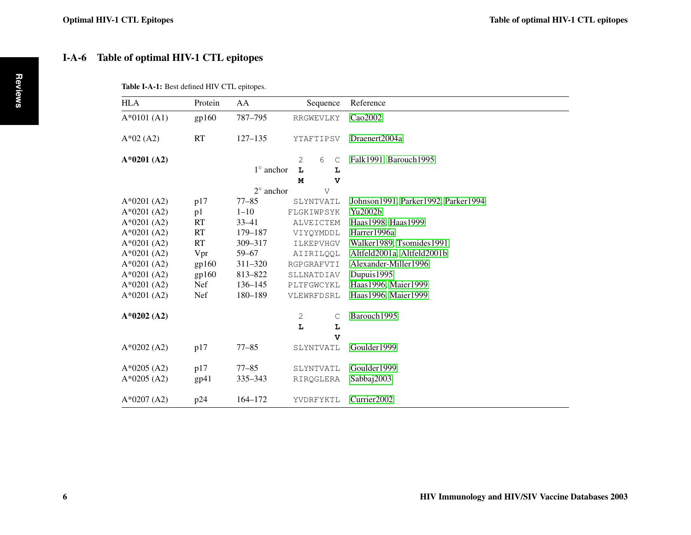# <span id="page-3-0"></span>I-A-6 Table of optimal HIV-1 CTL epitopes

| HLA           | Protein    | AA                 | Sequence         |           |              | Reference                              |
|---------------|------------|--------------------|------------------|-----------|--------------|----------------------------------------|
| $A*0101(A1)$  | gp160      | 787-795            | RRGWEVLKY        |           |              | Cao2002                                |
| $A*02(A2)$    | <b>RT</b>  | $127 - 135$        |                  | YTAFTIPSV |              | Draenert2004a                          |
| $A*0201 (A2)$ |            |                    | 2                | 6         | $\mathsf{C}$ | Falk1991, Barouch1995                  |
|               |            | $1^\circ$ anchor   | L                |           | L            |                                        |
|               |            |                    | М                |           | $\mathbf{v}$ |                                        |
|               |            | $2^{\circ}$ anchor |                  | V         |              |                                        |
| $A*0201 (A2)$ | p17        | $77 - 85$          |                  | SLYNTVATL |              | Johnson 1991, Parker 1992, Parker 1994 |
| $A*0201 (A2)$ | p1         | $1 - 10$           | FLGKIWPSYK       |           |              | Yu2002b                                |
| $A*0201 (A2)$ | <b>RT</b>  | $33 - 41$          | ALVEICTEM        |           |              | Haas1998, Haas1999                     |
| $A*0201 (A2)$ | <b>RT</b>  | 179-187            | VIYOYMDDL        |           |              | Harrer1996a                            |
| $A*0201 (A2)$ | RT         | 309-317            |                  | ILKEPVHGV |              | Walker1989, Tsomides1991               |
| $A*0201 (A2)$ | Vpr        | $59 - 67$          | <b>AIIRILOOL</b> |           |              | Altfeld2001a, Altfeld2001b             |
| $A*0201 (A2)$ | gp160      | $311 - 320$        | RGPGRAFVTI       |           |              | Alexander-Miller1996                   |
| $A*0201 (A2)$ | gp160      | 813-822            | SLLNATDIAV       |           |              | Dupuis1995                             |
| $A*0201 (A2)$ | <b>Nef</b> | 136-145            | PLTFGWCYKL       |           |              | Haas1996, Maier1999                    |
| $A*0201 (A2)$ | Nef        | 180-189            | VLEWRFDSRL       |           |              | Haas1996, Maier1999                    |
| $A*0202(A2)$  |            |                    | 2                |           | C            | Barouch1995                            |
|               |            |                    | L                |           | L            |                                        |
|               |            |                    |                  |           | $\mathbf v$  |                                        |
| $A*0202(A2)$  | p17        | $77 - 85$          |                  | SLYNTVATL |              | Goulder1999                            |
| $A*0205(A2)$  | p17        | $77 - 85$          |                  | SLYNTVATL |              | Goulder1999                            |
| $A*0205(A2)$  | gp41       | $335 - 343$        |                  | RIRQGLERA |              | Sabbaj2003                             |
| $A*0207 (A2)$ | p24        | 164-172            |                  | YVDRFYKTL |              | Currier2002                            |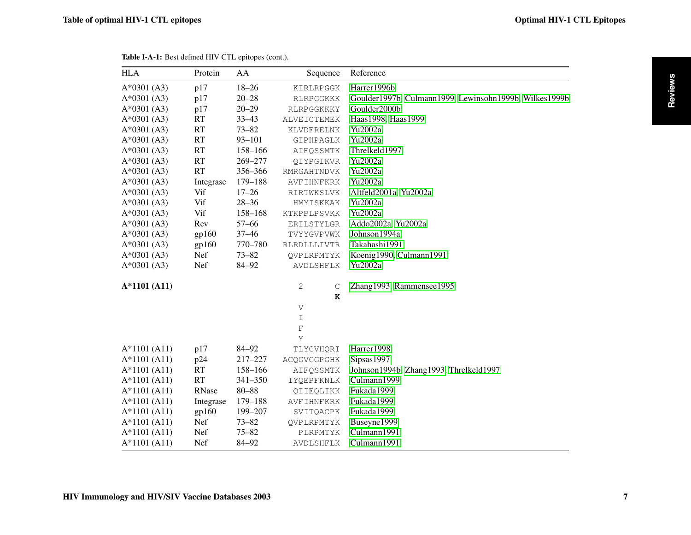<span id="page-4-0"></span>

| <b>HLA</b>     | Protein   | AA          | Sequence          | Reference                                              |
|----------------|-----------|-------------|-------------------|--------------------------------------------------------|
| $A*0301(A3)$   | p17       | $18 - 26$   | KIRLRPGGK         | Harrer1996b                                            |
| $A*0301(A3)$   | p17       | $20 - 28$   | RLRPGGKKK         | Goulder1997b, Culmann1999, Lewinsohn1999b, Wilkes1999b |
| $A*0301(A3)$   | p17       | $20 - 29$   | RLRPGGKKKY        | Goulder2000b                                           |
| $A*0301(A3)$   | RT        | $33 - 43$   | ALVEICTEMEK       | Haas1998, Haas1999                                     |
| $A*0301(A3)$   | RT        | $73 - 82$   | KLVDFRELNK        | Yu2002a                                                |
| $A*0301 (A3)$  | RT        | $93 - 101$  | GIPHPAGLK         | Yu2002a                                                |
| $A*0301(A3)$   | RT        | 158-166     | AIFQSSMTK         | Threlkeld1997                                          |
| $A*0301(A3)$   | RT        | 269-277     | QIYPGIKVR         | Yu2002a                                                |
| $A*0301(A3)$   | RT        | 356-366     | RMRGAHTNDVK       | Yu2002a                                                |
| $A*0301(A3)$   | Integrase | 179-188     | AVFIHNFKRK        | Yu2002a                                                |
| $A*0301(A3)$   | Vif       | $17 - 26$   | RIRTWKSLVK        | Altfeld2001a, Yu2002a                                  |
| $A*0301(A3)$   | Vif       | $28 - 36$   | HMYISKKAK         | Yu2002a                                                |
| $A*0301(A3)$   | Vif       | 158-168     | KTKPPLPSVKK       | Yu2002a                                                |
| $A*0301(A3)$   | Rev       | $57 - 66$   | ERILSTYLGR        | Addo2002a, Yu2002a                                     |
| $A*0301(A3)$   | gp160     | $37 - 46$   | TVYYGVPVWK        | Johnson1994a                                           |
| $A*0301(A3)$   | gp160     | 770–780     | RLRDLLLIVTR       | Takahashi1991                                          |
| $A*0301(A3)$   | Nef       | $73 - 82$   | QVPLRPMTYK        | Koenig1990, Culmann1991                                |
| $A*0301(A3)$   | Nef       | 84-92       | AVDLSHFLK         | Yu2002a                                                |
| A*1101 (A11)   |           |             | 2<br>$\mathsf{C}$ | Zhang1993, Rammensee1995                               |
|                |           |             | K                 |                                                        |
|                |           |             | V                 |                                                        |
|                |           |             | I                 |                                                        |
|                |           |             | $\rm F$           |                                                        |
|                |           |             | Υ                 |                                                        |
| $A*1101 (A11)$ | p17       | 84-92       | TLYCVHQRI         | Harrer1998                                             |
| $A*1101 (A11)$ | p24       | 217-227     | ACQGVGGPGHK       | Sipsas1997                                             |
| $A*1101 (A11)$ | RT        | 158-166     | AIFQSSMTK         | Johnson1994b, Zhang1993, Threlkeld1997                 |
| $A*1101 (A11)$ | RT        | $341 - 350$ | IYQEPFKNLK        | Culmann1999                                            |
| $A*1101 (A11)$ | RNase     | $80 - 88$   | QIIEQLIKK         | Fukada1999                                             |
| $A*1101 (A11)$ | Integrase | 179-188     | AVFIHNFKRK        | Fukada1999                                             |
| $A*1101 (A11)$ | gp160     | 199-207     | SVITQACPK         | Fukada1999                                             |
| $A*1101 (A11)$ | Nef       | $73 - 82$   | QVPLRPMTYK        | Buseyne1999                                            |
| $A*1101 (A11)$ | Nef       | $75 - 82$   | PLRPMTYK          | Culmann1991                                            |
| $A*1101 (A11)$ | Nef       | 84-92       | AVDLSHFLK         | Culmann1991                                            |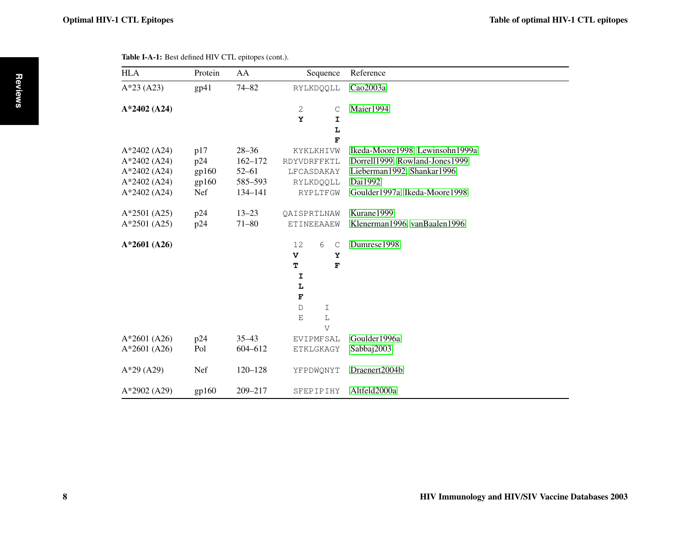<span id="page-5-0"></span>

| <b>HLA</b>     | Protein | AA          | Sequence                     | Reference                       |
|----------------|---------|-------------|------------------------------|---------------------------------|
| $A*23 (A23)$   | gp41    | $74 - 82$   | RYLKDQQLL                    | Cao2003a                        |
| A*2402 (A24)   |         |             | 2<br>C                       | Maier1994                       |
|                |         |             | Y<br>I                       |                                 |
|                |         |             | L                            |                                 |
|                |         |             | F                            |                                 |
| $A*2402 (A24)$ | p17     | $28 - 36$   | KYKLKHIVW                    | Ikeda-Moore1998, Lewinsohn1999a |
| A*2402 (A24)   | p24     | $162 - 172$ | RDYVDRFFKTL                  | Dorrell1999, Rowland-Jones1999  |
| $A*2402 (A24)$ | gp160   | $52 - 61$   | LFCASDAKAY                   | Lieberman1992, Shankar1996      |
| $A*2402 (A24)$ | gp160   | 585-593     | RYLKDQQLL                    | Dai1992                         |
| $A*2402 (A24)$ | Nef     | 134-141     | RYPLTFGW                     | Goulder1997a, Ikeda-Moore1998   |
| $A*2501 (A25)$ | p24     | $13 - 23$   | QAISPRTLNAW                  | Kurane1999                      |
| $A*2501 (A25)$ | p24     | $71 - 80$   | ETINEEAAEW                   | Klenerman1996, vanBaalen1996    |
| A*2601 (A26)   |         |             | 12<br>6<br>$\mathsf{C}$      | Dumrese1998                     |
|                |         |             | $\overline{\mathbf{v}}$<br>Y |                                 |
|                |         |             | T<br>F                       |                                 |
|                |         |             | I                            |                                 |
|                |         |             | L                            |                                 |
|                |         |             | F                            |                                 |
|                |         |             | $\mathbb{D}$<br>$\mathbf I$  |                                 |
|                |         |             | $\mathbb L$<br>Ε             |                                 |
|                |         |             | $\overline{V}$               |                                 |
| $A*2601 (A26)$ | p24     | $35 - 43$   | EVIPMFSAL                    | Goulder1996a                    |
| $A*2601 (A26)$ | Pol     | 604-612     | ETKLGKAGY                    | Sabbaj2003                      |
| $A*29$ (A29)   | Nef     | $120 - 128$ | YFPDWQNYT                    | Draenert2004b                   |
| A*2902 (A29)   | gp160   | 209-217     | SFEPIPIHY                    | Altfeld2000a                    |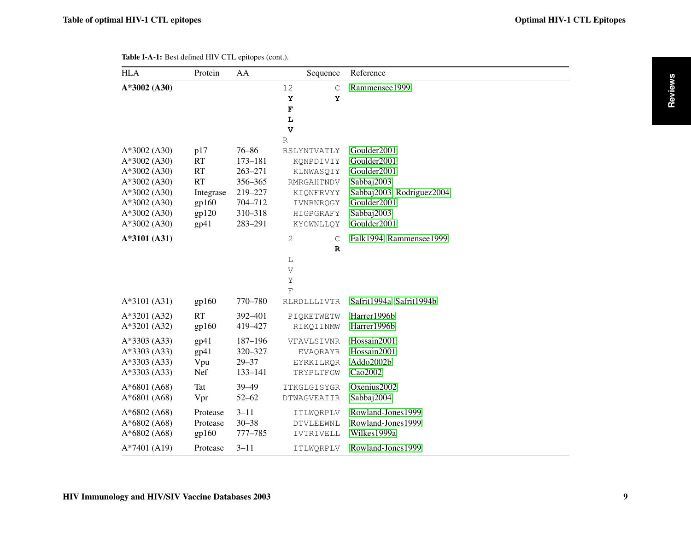<span id="page-6-0"></span>

| <b>HLA</b>                                                                                                                               | Protein                                                                           | AA                                                                                             | Sequence                                                                                                               | Reference                                                                                                                        |
|------------------------------------------------------------------------------------------------------------------------------------------|-----------------------------------------------------------------------------------|------------------------------------------------------------------------------------------------|------------------------------------------------------------------------------------------------------------------------|----------------------------------------------------------------------------------------------------------------------------------|
| A*3002 (A30)                                                                                                                             |                                                                                   |                                                                                                | 12<br>$\mathsf C$<br>Υ<br>Y<br>$\mathbf F$<br>L<br>$\mathbf{v}$                                                        | Rammensee1999                                                                                                                    |
| $A*3002$ (A30)<br>A*3002 (A30)<br>$A*3002$ (A30)<br>$A*3002$ (A30)<br>$A*3002$ (A30)<br>$A*3002$ (A30)<br>$A*3002$ (A30)<br>A*3002 (A30) | p17<br><b>RT</b><br><b>RT</b><br><b>RT</b><br>Integrase<br>gp160<br>gp120<br>gp41 | $76 - 86$<br>$173 - 181$<br>$263 - 271$<br>356-365<br>219-227<br>704-712<br>310-318<br>283-291 | $\mathbb R$<br>RSLYNTVATLY<br>KQNPDIVIY<br>KLNWASOIY<br>RMRGAHTNDV<br>KIQNFRVYY<br>IVNRNRQGY<br>HIGPGRAFY<br>KYCWNLLQY | Goulder2001<br>Goulder2001<br>Goulder2001<br>Sabbaj2003<br>Sabbaj2003, Rodriguez2004<br>Goulder2001<br>Sabbaj2003<br>Goulder2001 |
| A*3101 (A31)<br>A*3101 (A31)                                                                                                             | gp160                                                                             | 770-780                                                                                        | 2<br>$\mathsf{C}$<br>$\mathbf R$<br>L<br>V<br>Υ<br>$\mathbf{F}$<br>RLRDLLLIVTR                                         | Falk1994, Rammensee1999<br>Safrit1994a, Safrit1994b                                                                              |
| A*3201 (A32)<br>A*3201 (A32)                                                                                                             | <b>RT</b><br>gp160                                                                | 392-401<br>419-427                                                                             | PIQKETWETW<br>RIKQIINMW                                                                                                | Harrer1996b<br>Harrer1996b                                                                                                       |
| $A*3303 (A33)$<br>A*3303 (A33)<br>A*3303 (A33)<br>A*3303 (A33)                                                                           | gp41<br>gp41<br>Vpu<br>Nef                                                        | 187-196<br>320-327<br>$29 - 37$<br>133-141                                                     | VFAVLSIVNR<br>EVAQRAYR<br>EYRKILROR<br>TRYPLTFGW                                                                       | Hossain2001<br>Hossain2001<br>Addo2002b<br>Cao2002                                                                               |
| $A*6801 (A68)$<br>A*6801 (A68)                                                                                                           | <b>Tat</b><br>Vpr                                                                 | $39 - 49$<br>$52 - 62$                                                                         | ITKGLGISYGR<br>DTWAGVEAIIR                                                                                             | Oxenius2002<br>Sabbaj2004                                                                                                        |
| $A*6802(AG8)$<br>$A*6802(AG8)$<br>$A*6802(AG8)$                                                                                          | Protease<br>Protease<br>gp160                                                     | $3 - 11$<br>$30 - 38$<br>777-785                                                               | ITLWQRPLV<br>DTVLEEWNL<br>IVTRIVELL                                                                                    | Rowland-Jones1999<br>Rowland-Jones1999<br>Wilkes1999a                                                                            |
| $A*7401 (A19)$                                                                                                                           | Protease                                                                          | $3 - 11$                                                                                       | ITLWQRPLV                                                                                                              | Rowland-Jones1999                                                                                                                |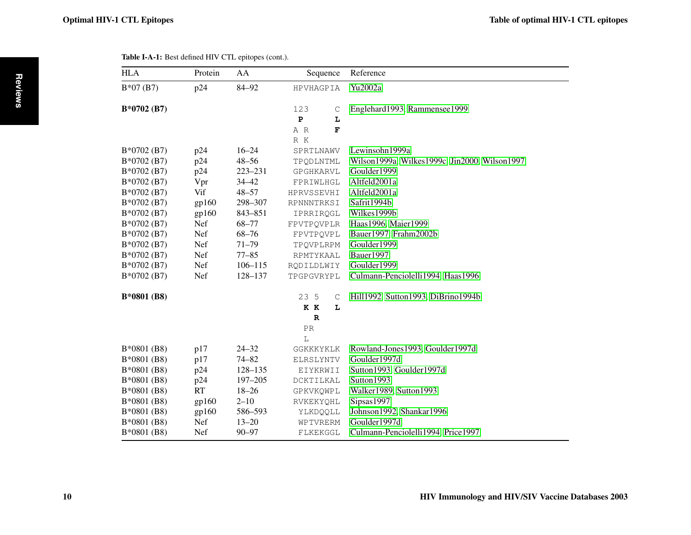<span id="page-7-0"></span>

| Table I-A-1: Best defined HIV CTL epitopes (cont.). |  |
|-----------------------------------------------------|--|
|-----------------------------------------------------|--|

| <b>HLA</b>   | Protein    | AA          | Sequence                                         | Reference                                     |
|--------------|------------|-------------|--------------------------------------------------|-----------------------------------------------|
| $B*07(B7)$   | p24        | 84-92       | <b>HPVHAGPIA</b>                                 | Yu2002a                                       |
| $B*0702(B7)$ |            |             | 123<br>C<br>${\bf P}$<br>L<br>$\mathbf F$<br>A R | Englehard1993, Rammensee1999                  |
| $B*0702(B7)$ | p24        | $16 - 24$   | R K<br>SPRTLNAWV                                 | Lewinsohn1999a                                |
| $B*0702(B7)$ | p24        | $48 - 56$   | TPQDLNTML                                        | Wilson1999a, Wilkes1999c, Jin2000, Wilson1997 |
| $B*0702(B7)$ | p24        | 223-231     | GPGHKARVL                                        | Goulder1999                                   |
| $B*0702(B7)$ | Vpr        | $34 - 42$   | FPRIWLHGL                                        | Altfeld2001a                                  |
| $B*0702(B7)$ | Vif        | $48 - 57$   | HPRVSSEVHI                                       | Altfeld2001a                                  |
| $B*0702(B7)$ | gp160      | 298-307     | RPNNNTRKSI                                       | Safrit1994b                                   |
| B*0702 (B7)  | gp160      | 843-851     | IPRRIROGL                                        | Wilkes1999b                                   |
| $B*0702(B7)$ | Nef        | $68 - 77$   | FPVTPQVPLR                                       | Haas1996, Maier1999                           |
| $B*0702(B7)$ | Nef        | $68 - 76$   | FPVTPQVPL                                        | Bauer1997, Frahm2002b                         |
| $B*0702(B7)$ | Nef        | $71 - 79$   | TPQVPLRPM                                        | Goulder1999                                   |
| $B*0702(B7)$ | Nef        | $77 - 85$   | RPMTYKAAL                                        | Bauer1997                                     |
| $B*0702(B7)$ | Nef        | $106 - 115$ | RQDILDLWIY                                       | Goulder1999                                   |
| $B*0702(B7)$ | <b>Nef</b> | 128-137     | TPGPGVRYPL                                       | Culmann-Penciolelli1994, Haas1996             |
| B*0801 (B8)  |            |             | 23 5<br>$\mathsf C$                              | Hill1992, Sutton1993, DiBrino1994b            |
|              |            |             | K K<br>L                                         |                                               |
|              |            |             | $\mathbb{R}$                                     |                                               |
|              |            |             | PR                                               |                                               |
|              |            |             | L                                                |                                               |
| $B*0801(B8)$ | p17        | $24 - 32$   | GGKKKYKLK                                        | Rowland-Jones 1993, Goulder 1997d             |
| $B*0801(B8)$ | p17        | $74 - 82$   | ELRSLYNTV                                        | Goulder1997d                                  |
| $B*0801(B8)$ | p24        | $128 - 135$ | EIYKRWII                                         | Sutton1993, Goulder1997d                      |
| $B*0801(B8)$ | p24        | $197 - 205$ | DCKTILKAL                                        | Sutton1993                                    |
| $B*0801(B8)$ | RT         | $18 - 26$   | GPKVKQWPL                                        | Walker1989, Sutton1993                        |
| $B*0801(B8)$ | gp160      | $2 - 10$    | RVKEKYQHL                                        | Sipsas1997                                    |
| $B*0801(B8)$ | gp160      | 586-593     | YLKDQQLL                                         | Johnson1992, Shankar1996                      |
| $B*0801(B8)$ | Nef        | $13 - 20$   | WPTVRERM                                         | Goulder1997d                                  |
| $B*0801(B8)$ | Nef        | $90 - 97$   | FLKEKGGL                                         | Culmann-Penciolelli1994, Price1997            |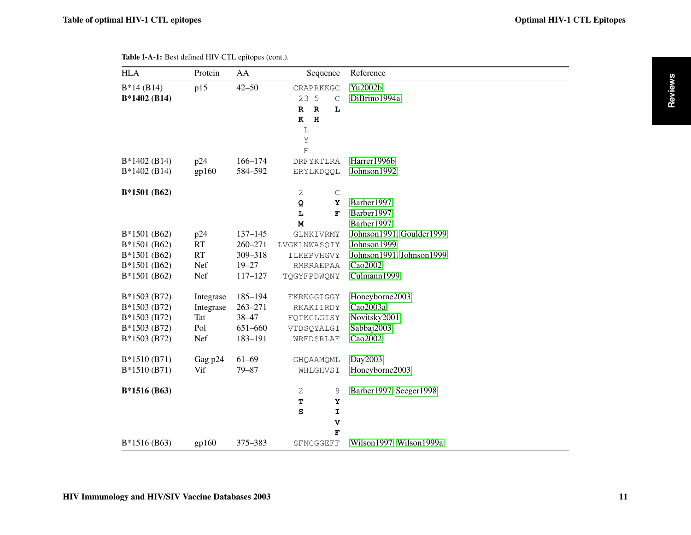<span id="page-8-0"></span>

| <b>HLA</b>                                                                   | Protein                                     | AA                                                    | Sequence                                                                                                                      | Reference                                                           |
|------------------------------------------------------------------------------|---------------------------------------------|-------------------------------------------------------|-------------------------------------------------------------------------------------------------------------------------------|---------------------------------------------------------------------|
| $B*14(B14)$<br>B*1402 (B14)                                                  | p15                                         | $42 - 50$                                             | CRAPRKKGC<br>23 5<br>$\mathsf C$<br>$\mathbb{R}$<br>L<br>$\mathbb{R}$<br>$\, {\bf H}$<br>K<br>$\mathbb L$<br>Υ<br>$\mathbf F$ | Yu2002b<br>DiBrino1994a                                             |
| $B*1402(B14)$                                                                | p24                                         | 166-174                                               | DRFYKTLRA                                                                                                                     | Harrer1996b                                                         |
| B*1402 (B14)                                                                 | gp160                                       | 584-592                                               | ERYLKDQQL                                                                                                                     | Johnson1992                                                         |
| $B*1501(B62)$                                                                |                                             |                                                       | 2<br>$\mathsf C$<br>Q<br>Y<br>L<br>F                                                                                          | Barber1997<br>Barber1997                                            |
| B*1501 (B62)                                                                 | p24                                         | $137 - 145$                                           | M<br>GLNKIVRMY                                                                                                                | Barber1997<br>Johnson1991, Goulder1999                              |
| B*1501 (B62)                                                                 | <b>RT</b>                                   | $260 - 271$                                           | LVGKLNWASQIY                                                                                                                  | Johnson1999                                                         |
| $B*1501(B62)$                                                                | RT                                          | 309-318                                               | ILKEPVHGVY                                                                                                                    | Johnson1991, Johnson1999                                            |
| B*1501 (B62)                                                                 | Nef                                         | $19 - 27$                                             | RMRRAEPAA                                                                                                                     | Cao2002                                                             |
| B*1501 (B62)                                                                 | Nef                                         | $117 - 127$                                           | TQGYFPDWQNY                                                                                                                   | Culmann1999                                                         |
| B*1503 (B72)<br>B*1503 (B72)<br>B*1503 (B72)<br>B*1503 (B72)<br>B*1503 (B72) | Integrase<br>Integrase<br>Tat<br>Pol<br>Nef | 185-194<br>$263 - 271$<br>38-47<br>651-660<br>183-191 | FKRKGGIGGY<br>RKAKIIRDY<br>FOTKGLGISY<br>VTDSQYALGI<br>WRFDSRLAF                                                              | Honeyborne2003<br>Cao2003a<br>Novitsky2001<br>Sabbaj2003<br>Cao2002 |
| B*1510 (B71)<br>$B*1510(B71)$                                                | Gag p24<br>Vif                              | $61 - 69$<br>$79 - 87$                                | GHQAAMQML<br>WHLGHVSI                                                                                                         | Day2003<br>Honeyborne2003                                           |
| B*1516 (B63)                                                                 |                                             |                                                       | $\mathbf{2}$<br>9<br>т<br>Y<br>${\tt S}$<br>I<br>V<br>F                                                                       | Barber1997, Seeger1998                                              |
| $B*1516(B63)$                                                                | gp160                                       | 375-383                                               | SFNCGGEFF                                                                                                                     | Wilson1997, Wilson1999a                                             |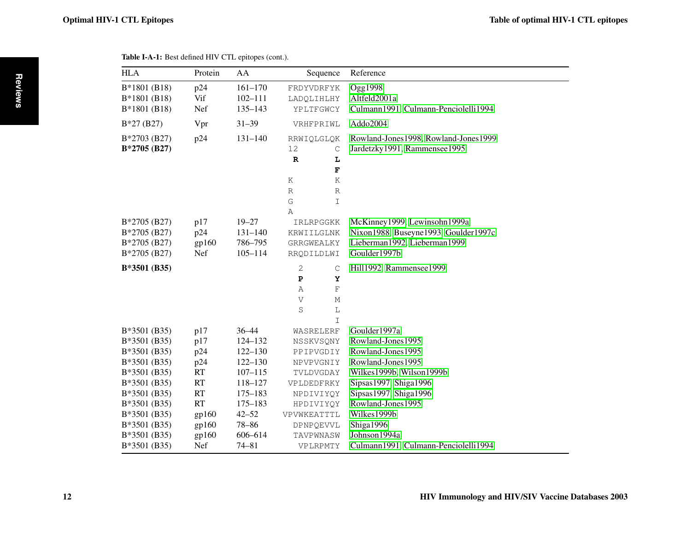<span id="page-9-0"></span>

| <b>HLA</b>    | Protein   | AA          | Sequence                   | Reference                            |
|---------------|-----------|-------------|----------------------------|--------------------------------------|
| $B*1801(B18)$ | p24       | $161 - 170$ | FRDYVDRFYK                 | Ogg1998                              |
| B*1801 (B18)  | Vif       | $102 - 111$ | LADQLIHLHY                 | Altfeld2001a                         |
| B*1801 (B18)  | Nef       | $135 - 143$ | YPLTFGWCY                  | Culmann1991, Culmann-Penciolelli1994 |
| $B*27(B27)$   | Vpr       | $31 - 39$   | VRHFPRIWL                  | Addo2004                             |
| B*2703 (B27)  | p24       | $131 - 140$ | RRWIOLGLOK                 | Rowland-Jones1998, Rowland-Jones1999 |
| B*2705 (B27)  |           |             | 12<br>$\mathsf C$          | Jardetzky1991, Rammensee1995         |
|               |           |             | ${\bf R}$<br>L             |                                      |
|               |           |             | $\overline{\mathbf{F}}$    |                                      |
|               |           |             | Κ<br>Κ                     |                                      |
|               |           |             | $\mathbb R$<br>$\mathbb R$ |                                      |
|               |           |             | G<br>$\mathbbm{I}$         |                                      |
|               |           |             | Α                          |                                      |
| B*2705 (B27)  | p17       | $19 - 27$   | IRLRPGGKK                  | McKinney1999, Lewinsohn1999a         |
| B*2705 (B27)  | p24       | $131 - 140$ | KRWIILGLNK                 | Nixon1988, Buseyne1993, Goulder1997c |
| B*2705 (B27)  | gp160     | 786-795     | GRRGWEALKY                 | Lieberman1992, Lieberman1999         |
| B*2705 (B27)  | Nef       | $105 - 114$ | RRQDILDLWI                 | Goulder1997b                         |
| $B*3501(B35)$ |           |             | 2<br>$\mathsf{C}$          | Hill1992, Rammensee1999              |
|               |           |             | $\, {\bf P}$<br>Y          |                                      |
|               |           |             | $\mathbf F$<br>Α           |                                      |
|               |           |             | V<br>М                     |                                      |
|               |           |             | S<br>$\mathbf L$           |                                      |
|               |           |             | $\mathbbm{I}$              |                                      |
| B*3501 (B35)  | p17       | $36 - 44$   | WASRELERF                  | Goulder1997a                         |
| B*3501 (B35)  | p17       | 124-132     | NSSKVSQNY                  | Rowland-Jones1995                    |
| B*3501 (B35)  | p24       | $122 - 130$ | PPIPVGDIY                  | Rowland-Jones1995                    |
| B*3501 (B35)  | p24       | $122 - 130$ | NPVPVGNIY                  | Rowland-Jones1995                    |
| $B*3501(B35)$ | <b>RT</b> | $107 - 115$ | TVLDVGDAY                  | Wilkes1999b, Wilson1999b             |
| B*3501 (B35)  | RT        | 118-127     | VPLDEDFRKY                 | Sipsas1997, Shiga1996                |
| B*3501 (B35)  | RT        | $175 - 183$ | NPDIVIYQY                  | Sipsas1997, Shiga1996                |
| B*3501 (B35)  | RT        | $175 - 183$ | HPDIVIYQY                  | Rowland-Jones1995                    |
| B*3501 (B35)  | gp160     | $42 - 52$   | VPVWKEATTTL                | Wilkes1999b                          |
| B*3501 (B35)  | gp160     | $78 - 86$   | DPNPQEVVL                  | Shiga1996                            |
| B*3501 (B35)  | gp160     | 606-614     | TAVPWNASW                  | Johnson1994a                         |
| B*3501 (B35)  | Nef       | $74 - 81$   | VPLRPMTY                   | Culmann1991, Culmann-Penciolelli1994 |

**Reviews**

Reviews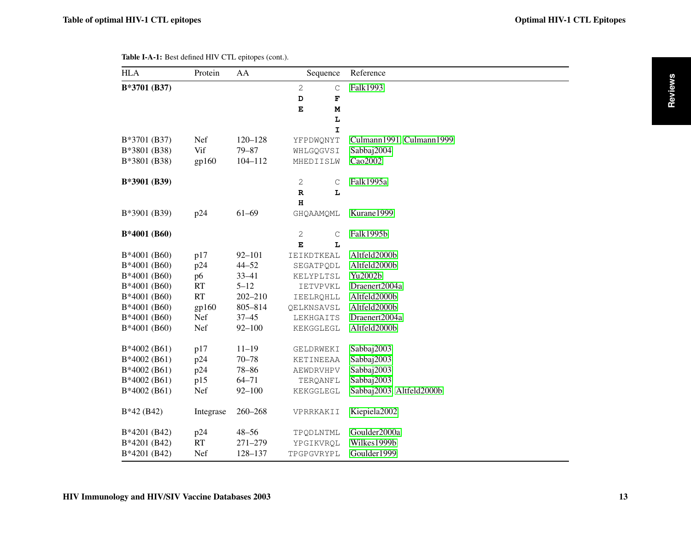<span id="page-10-0"></span>

| <b>HLA</b>    | Protein   | AA          |                 | Sequence    | Reference                |
|---------------|-----------|-------------|-----------------|-------------|--------------------------|
| B*3701 (B37)  |           |             | $\overline{c}$  | $\mathsf C$ | Falk1993                 |
|               |           |             | D               | F           |                          |
|               |           |             | $\mathbf E$     | M           |                          |
|               |           |             |                 | L           |                          |
|               |           |             |                 | $\mathbf I$ |                          |
| B*3701 (B37)  | Nef       | $120 - 128$ | YFPDWQNYT       |             | Culmann1991, Culmann1999 |
| B*3801 (B38)  | Vif       | $79 - 87$   | WHLGQGVSI       |             | Sabbaj2004               |
| B*3801 (B38)  | gp160     | $104 - 112$ | MHEDIISLW       |             | Cao2002                  |
| B*3901 (B39)  |           |             | 2               | $\mathsf C$ | Falk1995a                |
|               |           |             | $\mathbb{R}$    | L           |                          |
|               |           |             | $\bf H$         |             |                          |
| B*3901 (B39)  | p24       | $61 - 69$   | GHQAAMQML       |             | Kurane1999               |
| B*4001 (B60)  |           |             | $\sqrt{2}$      | $\mathsf C$ | Falk1995b                |
|               |           |             | E               | L           |                          |
| B*4001 (B60)  | p17       | $92 - 101$  | IEIKDTKEAL      |             | Altfeld2000b             |
| B*4001 (B60)  | p24       | $44 - 52$   | SEGATPQDL       |             | Altfeld2000b             |
| B*4001 (B60)  | p6        | $33 - 41$   | KELYPLTSL       |             | Yu2002b                  |
| B*4001 (B60)  | RT        | $5 - 12$    | <b>IETVPVKL</b> |             | Draenert2004a            |
| B*4001 (B60)  | RT        | $202 - 210$ | IEELRQHLL       |             | Altfeld2000b             |
| B*4001 (B60)  | gp160     | 805-814     | QELKNSAVSL      |             | Altfeld2000b             |
| B*4001 (B60)  | Nef       | $37 - 45$   | LEKHGAITS       |             | Draenert2004a            |
| B*4001 (B60)  | Nef       | $92 - 100$  | KEKGGLEGL       |             | Altfeld2000b             |
| $B*4002(B61)$ | p17       | $11 - 19$   | GELDRWEKI       |             | Sabbaj2003               |
| $B*4002(B61)$ | p24       | $70 - 78$   | KETINEEAA       |             | Sabbaj2003               |
| $B*4002(B61)$ | p24       | $78 - 86$   | AEWDRVHPV       |             | Sabbaj2003               |
| B*4002 (B61)  | p15       | $64 - 71$   | TERQANFL        |             | Sabbaj2003               |
| $B*4002(B61)$ | Nef       | $92 - 100$  | KEKGGLEGL       |             | Sabbaj2003, Altfeld2000b |
| $B*42(B42)$   | Integrase | $260 - 268$ | VPRRKAKII       |             | Kiepiela2002             |
| B*4201 (B42)  | p24       | $48 - 56$   | TPQDLNTML       |             | Goulder2000a             |
| B*4201 (B42)  | RT        | $271 - 279$ | YPGIKVRQL       |             | Wilkes1999b              |
| B*4201 (B42)  | Nef       | 128-137     | TPGPGVRYPL      |             | Goulder1999              |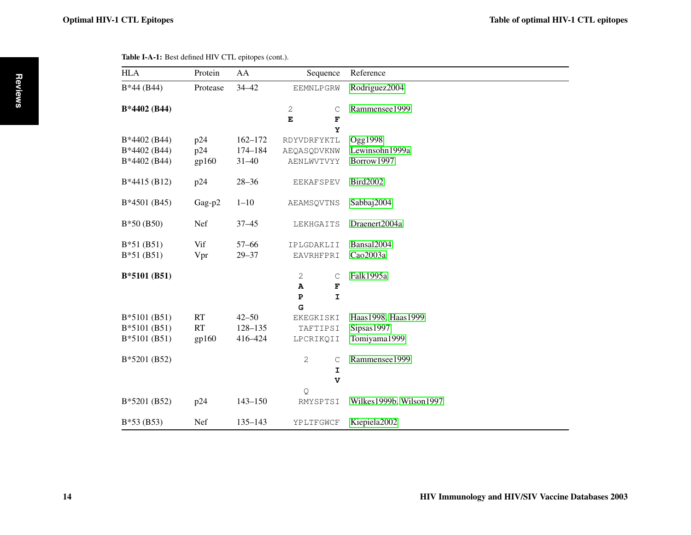<span id="page-11-0"></span>

| <b>HLA</b>                                    | Protein             | AA                                  | Sequence                                   | Reference                                        |
|-----------------------------------------------|---------------------|-------------------------------------|--------------------------------------------|--------------------------------------------------|
| $B*44(B44)$                                   | Protease            | $34 - 42$                           | EEMNLPGRW                                  | Rodriguez2004                                    |
| B*4402 (B44)                                  |                     |                                     | 2<br>$\mathsf C$<br>$\mathbf E$<br>F<br>Y  | Rammensee1999                                    |
| B*4402 (B44)<br>B*4402 (B44)<br>B*4402 (B44)  | p24<br>p24<br>gp160 | $162 - 172$<br>174-184<br>$31 - 40$ | RDYVDRFYKTL<br>AEQASQDVKNW<br>AENLWVTVYY   | Ogg1998<br>Lewinsohn1999a<br>Borrow1997          |
| B*4415 (B12)                                  | p24                 | $28 - 36$                           | <b>EEKAFSPEV</b>                           | <b>Bird2002</b>                                  |
| B*4501 (B45)                                  | Gag-p2              | $1 - 10$                            | AEAMSQVTNS                                 | Sabbaj2004                                       |
| $B*50(B50)$                                   | Nef                 | $37 - 45$                           | LEKHGAITS                                  | Draenert2004a                                    |
| $B*51(B51)$<br>$B*51(B51)$                    | Vif<br>Vpr          | $57 - 66$<br>$29 - 37$              | IPLGDAKLII<br>EAVRHFPRI                    | Bansal2004<br>Cao2003a                           |
| B*5101 (B51)                                  |                     |                                     | 2<br>C<br>A<br>F<br>I<br>$\mathbf{P}$<br>G | Falk1995a                                        |
| B*5101 (B51)<br>$B*5101(B51)$<br>B*5101 (B51) | RT<br>RT<br>gp160   | $42 - 50$<br>128-135<br>416-424     | EKEGKISKI<br>TAFTIPSI<br>LPCRIKQII         | Haas1998, Haas1999<br>Sipsas1997<br>Tomiyama1999 |
| B*5201 (B52)                                  |                     |                                     | 2<br>C<br>I<br>$\mathbf v$                 | Rammensee1999                                    |
| B*5201 (B52)                                  | p24                 | $143 - 150$                         | Q<br>RMYSPTSI                              | Wilkes1999b, Wilson1997                          |
| $B*53(B53)$                                   | Nef                 | $135 - 143$                         | YPLTFGWCF                                  | Kiepiela2002                                     |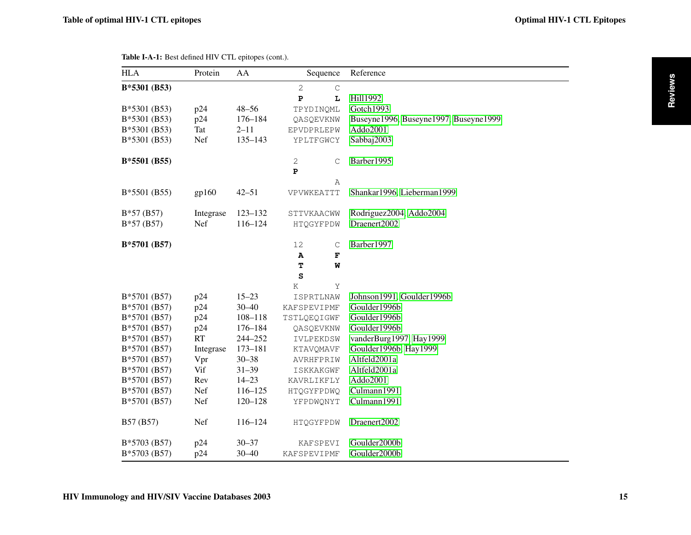<span id="page-12-0"></span>

| <b>HLA</b>    | Protein    | AA          | Sequence                     | Reference                             |
|---------------|------------|-------------|------------------------------|---------------------------------------|
| B*5301 (B53)  |            |             | $\mathbf{2}$<br>$\mathsf{C}$ |                                       |
|               |            |             | ${\bf P}$<br>L               | Hill1992                              |
| B*5301 (B53)  | p24        | $48 - 56$   | TPYDINQML                    | Gotch1993                             |
| B*5301 (B53)  | p24        | 176-184     | QASQEVKNW                    | Buseyne1996, Buseyne1997, Buseyne1999 |
| B*5301 (B53)  | <b>Tat</b> | $2 - 11$    | EPVDPRLEPW                   | Addo2001                              |
| B*5301 (B53)  | Nef        | $135 - 143$ | YPLTFGWCY                    | Sabbaj2003                            |
| $B*5501(B55)$ |            |             | 2<br>$\mathsf C$             | Barber1995                            |
|               |            |             | $\mathbf{P}$                 |                                       |
|               |            |             | Α                            |                                       |
| B*5501 (B55)  | gp160      | $42 - 51$   | VPVWKEATTT                   | Shankar1996, Lieberman1999            |
| $B*57(B57)$   | Integrase  | $123 - 132$ | STTVKAACWW                   | Rodriguez2004, Addo2004               |
| $B*57(B57)$   | Nef        | $116 - 124$ | HTQGYFPDW                    | Draenert2002                          |
| B*5701 (B57)  |            |             | 12<br>$\mathsf C$            | Barber1997                            |
|               |            |             | A<br>$\mathbf F$             |                                       |
|               |            |             | T<br>W                       |                                       |
|               |            |             | S                            |                                       |
|               |            |             | Κ<br>Υ                       |                                       |
| B*5701 (B57)  | p24        | $15 - 23$   | ISPRTLNAW                    | Johnson1991, Goulder1996b             |
| B*5701 (B57)  | p24        | $30 - 40$   | KAFSPEVIPMF                  | Goulder1996b                          |
| B*5701 (B57)  | p24        | $108 - 118$ | TSTLQEQIGWF                  | Goulder1996b                          |
| B*5701 (B57)  | p24        | $176 - 184$ | QASQEVKNW                    | Goulder1996b                          |
| B*5701 (B57)  | RT         | 244-252     | IVLPEKDSW                    | vanderBurg1997, Hay1999               |
| B*5701 (B57)  | Integrase  | 173-181     | KTAVQMAVF                    | Goulder1996b, Hay1999                 |
| B*5701 (B57)  | Vpr        | $30 - 38$   | AVRHFPRIW                    | Altfeld2001a                          |
| B*5701 (B57)  | Vif        | $31 - 39$   | <b>ISKKAKGWF</b>             | Altfeld2001a                          |
| B*5701 (B57)  | Rev        | $14 - 23$   | KAVRLIKFLY                   | Addo2001                              |
| B*5701 (B57)  | Nef        | $116 - 125$ | HTQGYFPDWQ                   | Culmann1991                           |
| B*5701 (B57)  | Nef        | $120 - 128$ | YFPDWQNYT                    | Culmann1991                           |
| B57 (B57)     | Nef        | 116-124     | HTQGYFPDW                    | Draenert2002                          |
| B*5703 (B57)  | p24        | $30 - 37$   | KAFSPEVI                     | Goulder2000b                          |
| B*5703 (B57)  | p24        | $30 - 40$   | <b>KAFSPEVIPMF</b>           | Goulder2000b                          |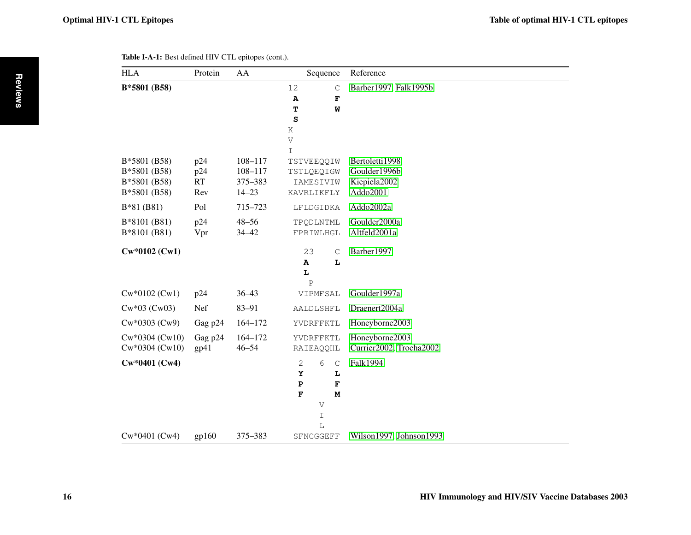<span id="page-13-0"></span>

| <b>HLA</b>                                                   | Protein                        | AA                                                 | Sequence                                                                                      | Reference                                                  |
|--------------------------------------------------------------|--------------------------------|----------------------------------------------------|-----------------------------------------------------------------------------------------------|------------------------------------------------------------|
| B*5801 (B58)                                                 |                                |                                                    | 12<br>$\mathbf C$<br>$\, {\bf A}$<br>F<br>Т<br>W<br>S<br>$\rm K$<br>V                         | Barber1997, Falk1995b                                      |
| B*5801 (B58)<br>B*5801 (B58)<br>B*5801 (B58)<br>B*5801 (B58) | p24<br>p24<br><b>RT</b><br>Rev | $108 - 117$<br>$108 - 117$<br>375-383<br>$14 - 23$ | $\mathbf I$<br>TSTVEEOOIW<br>TSTLQEQIGW<br>IAMESIVIW<br>KAVRLIKFLY                            | Bertoletti1998<br>Goulder1996b<br>Kiepiela2002<br>Addo2001 |
| B*81 (B81)<br>B*8101 (B81)<br>B*8101 (B81)                   | Pol<br>p24<br>Vpr              | 715-723<br>$48 - 56$<br>$34 - 42$                  | LFLDGIDKA<br>TPQDLNTML<br>FPRIWLHGL                                                           | Addo2002a<br>Goulder2000a<br>Altfeld2001a                  |
| Cw*0102 (Cw1)                                                |                                |                                                    | 23<br>$\mathsf C$<br>$\mathbf{A}$<br>L<br>L<br>$\mathsf{P}$                                   | Barber1997                                                 |
| $Cw*0102(Cw1)$                                               | p24                            | $36 - 43$                                          | VIPMFSAL                                                                                      | Goulder1997a                                               |
| $Cw*03$ ( $Cw03$ )                                           | Nef                            | 83-91                                              | AALDLSHFL                                                                                     | Draenert2004a                                              |
| $Cw*0303$ ( $Cw9$ )                                          | Gag p24                        | $164 - 172$                                        | YVDRFFKTL                                                                                     | Honeyborne2003                                             |
| $Cw*0304 (Cw10)$<br>$Cw*0304 (Cw10)$                         | Gag p24<br>gp41                | 164-172<br>$46 - 54$                               | YVDRFFKTL<br>RAIEAQQHL                                                                        | Honeyborne2003<br>Currier2002, Trocha2002                  |
| $Cw*0401$ (Cw4)                                              |                                |                                                    | $\sqrt{2}$<br>6<br>$\mathsf C$<br>Y<br>Ŀ<br>${\bf P}$<br>F<br>$\mathbf F$<br>M<br>V<br>I<br>L | Falk1994                                                   |
| Cw*0401 (Cw4)                                                | gp160                          | 375-383                                            | SFNCGGEFF                                                                                     | Wilson1997, Johnson1993                                    |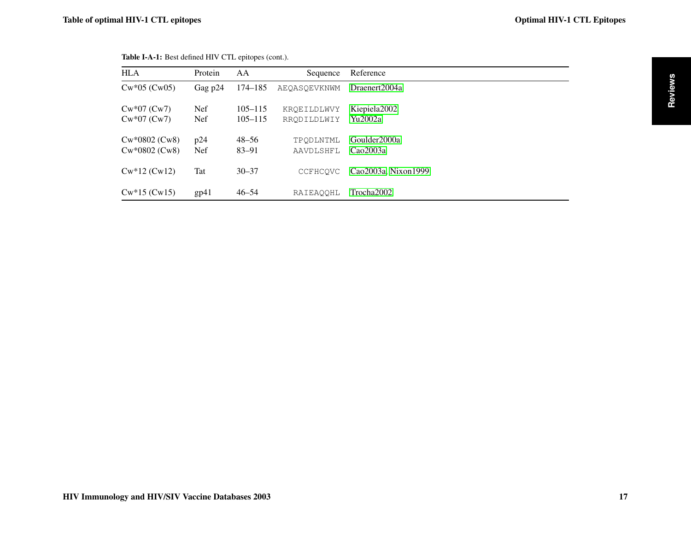| <b>HLA</b>                             | Protein                        | AA                         | Sequence                   | Reference                           |
|----------------------------------------|--------------------------------|----------------------------|----------------------------|-------------------------------------|
| $Cw*05$ ( $Cw05$ )                     | Gag p24                        | 174–185                    | <b>AEOASOEVKNWM</b>        | Draenert2004a                       |
| $Cw*07$ (Cw7)<br>$Cw*07$ ( $Cw7$ )     | Nef <sup>1</sup><br><b>Nef</b> | $105 - 115$<br>$105 - 115$ | KROEILDLWVY<br>RRODILDLWIY | Kiepiela <sub>2002</sub><br>Yu2002a |
| $Cw*0802$ (Cw8)<br>$Cw*0802$ ( $Cw8$ ) | p24<br><b>Nef</b>              | $48 - 56$<br>$83 - 91$     | TPODLNTML<br>AAVDLSHFL     | Goulder2000a<br>Cao2003a            |
| $Cw*12(Cw12)$                          | Tat                            | $30 - 37$                  | CCFHCOVC                   | Cao2003a, Nixon1999                 |
| $Cw*15$ (Cw15)                         | gp41                           | $46 - 54$                  | RAIEAOOHL                  | Trocha2002                          |

<span id="page-14-0"></span>

| Table I-A-1: Best defined HIV CTL epitopes (cont.). |  |  |  |  |
|-----------------------------------------------------|--|--|--|--|
|-----------------------------------------------------|--|--|--|--|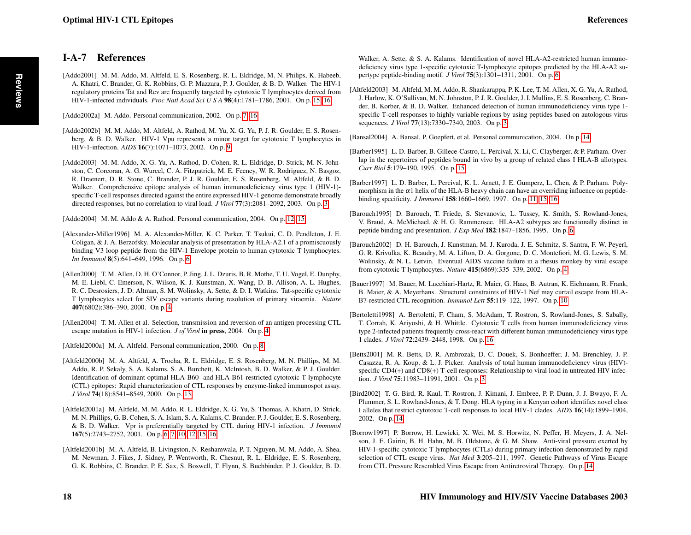### <span id="page-15-20"></span>I-A-7 References

<span id="page-15-10"></span>[Addo2002a] M. Addo. Personal communication, 2002. On p. [7,](#page-4-0) [16](#page-13-0)

- <span id="page-15-12"></span>[Addo2002b] M. M. Addo, M. Altfeld, A. Rathod, M. Yu, X. G. Yu, P. J. R. Goulder, E. S. Rosenberg, & B. D. Walker. HIV-1 Vpu represents a minor target for cytotoxic T lymphocytes in HIV-1-infection. *AIDS* 16(7):1071–1073, 2002. On p. [9](#page-6-0)
- <span id="page-15-0"></span>[Addo2003] M. M. Addo, X. G. Yu, A. Rathod, D. Cohen, R. L. Eldridge, D. Strick, M. N. Johnston, C. Corcoran, A. G. Wurcel, C. A. Fitzpatrick, M. E. Feeney, W. R. Rodriguez, N. Basgoz, R. Draenert, D. R. Stone, C. Brander, P. J. R. Goulder, E. S. Rosenberg, M. Altfeld, & B. D. Walker. Comprehensive epitope analysis of human immunodeficiency virus type 1 (HIV-1) specific T-cell responses directed against the entire expressed HIV-1 genome demonstrate broadly directed responses, but no correlation to viral load. *J Virol* 77(3):2081–2092, 2003. On p. [3](#page-0-1)

<span id="page-15-15"></span>[Addo2004] M. M. Addo & A. Rathod. Personal communication, 2004. On p. [12,](#page-9-0) [15](#page-12-0)

- <span id="page-15-9"></span>[Alexander-Miller1996] M. A. Alexander-Miller, K. C. Parker, T. Tsukui, C. D. Pendleton, J. E. Coligan, & J. A. Berzofsky. Molecular analysis of presentation by HLA-A2.1 of a promiscuously binding V3 loop peptide from the HIV-1 Envelope protein to human cytotoxic T lymphocytes. *Int Immunol* 8(5):641–649, 1996. On p. [6](#page-3-0)
- <span id="page-15-4"></span>[Allen2000] T. M. Allen, D. H. O'Connor, P. Jing, J. L. Dzuris, B. R. Mothe, T. U. Vogel, E. Dunphy, M. E. Liebl, C. Emerson, N. Wilson, K. J. Kunstman, X. Wang, D. B. Allison, A. L. Hughes, R. C. Desrosiers, J. D. Altman, S. M. Wolinsky, A. Sette, & D. I. Watkins. Tat-specific cytotoxic T lymphocytes select for SIV escape variants during resolution of primary viraemia. *Nature* 407(6802):386–390, 2000. On p. [4](#page-1-0)
- <span id="page-15-3"></span>[Allen2004] T. M. Allen et al. Selection, transmission and reversion of an antigen processing CTL escape mutation in HIV-1 infection. *J of Virol* in press, 2004. On p. [4](#page-1-0)
- <span id="page-15-11"></span>[Altfeld2000a] M. A. Altfeld. Personal communication, 2000. On p. [8](#page-5-0)
- <span id="page-15-16"></span>[Altfeld2000b] M. A. Altfeld, A. Trocha, R. L. Eldridge, E. S. Rosenberg, M. N. Phillips, M. M. Addo, R. P. Sekaly, S. A. Kalams, S. A. Burchett, K. McIntosh, B. D. Walker, & P. J. Goulder. Identification of dominant optimal HLA-B60- and HLA-B61-restricted cytotoxic T-lymphocyte (CTL) epitopes: Rapid characterization of CTL responses by enzyme-linked immunospot assay. *J Virol* 74(18):8541–8549, 2000. On p. [13](#page-10-0)
- <span id="page-15-7"></span>[Altfeld2001a] M. Altfeld, M. M. Addo, R. L. Eldridge, X. G. Yu, S. Thomas, A. Khatri, D. Strick, M. N. Phillips, G. B. Cohen, S. A. Islam, S. A. Kalams, C. Brander, P. J. Goulder, E. S. Rosenberg, & B. D. Walker. Vpr is preferentially targeted by CTL during HIV-1 infection. *J Immunol* 167(5):2743–2752, 2001. On p. [6,](#page-3-0) [7,](#page-4-0) [10,](#page-7-0) [12,](#page-9-0) [15,](#page-12-0) [16](#page-13-0)
- <span id="page-15-8"></span>[Altfeld2001b] M. A. Altfeld, B. Livingston, N. Reshamwala, P. T. Nguyen, M. M. Addo, A. Shea, M. Newman, J. Fikes, J. Sidney, P. Wentworth, R. Chesnut, R. L. Eldridge, E. S. Rosenberg, G. K. Robbins, C. Brander, P. E. Sax, S. Boswell, T. Flynn, S. Buchbinder, P. J. Goulder, B. D.

Walker, A. Sette, & S. A. Kalams. Identification of novel HLA-A2-restricted human immunodeficiency virus type 1-specific cytotoxic T-lymphocyte epitopes predicted by the HLA-A2 supertype peptide-binding motif. *J Virol* 75(3):1301–1311, 2001. On p. [6](#page-3-0)

- <span id="page-15-2"></span>[Altfeld2003] M. Altfeld, M. M. Addo, R. Shankarappa, P. K. Lee, T. M. Allen, X. G. Yu, A. Rathod, J. Harlow, K. O'Sullivan, M. N. Johnston, P. J. R. Goulder, J. I. Mullins, E. S. Rosenberg, C. Brander, B. Korber, & B. D. Walker. Enhanced detection of human immunodeficiency virus type 1 specific T-cell responses to highly variable regions by using peptides based on autologous virus sequences. *J Virol* 77(13):7330–7340, 2003. On p. [3](#page-0-1)
- <span id="page-15-19"></span>[Bansal2004] A. Bansal, P. Goepfert, et al. Personal communication, 2004. On p. [14](#page-11-0)
- <span id="page-15-21"></span>[Barber1995] L. D. Barber, B. Gillece-Castro, L. Percival, X. Li, C. Clayberger, & P. Parham. Overlap in the repertoires of peptides bound in vivo by a group of related class I HLA-B allotypes. *Curr Biol* 5:179–190, 1995. On p. [15](#page-12-0)
- <span id="page-15-14"></span>[Barber1997] L. D. Barber, L. Percival, K. L. Arnett, J. E. Gumperz, L. Chen, & P. Parham. Polymorphism in the  $\alpha$ 1 helix of the HLA-B heavy chain can have an overriding influence on peptidebinding specificity. *J Immunol* 158:1660–1669, 1997. On p. [11,](#page-8-0) [15,](#page-12-0) [16](#page-13-0)
- <span id="page-15-6"></span>[Barouch1995] D. Barouch, T. Friede, S. Stevanovic, L. Tussey, K. Smith, S. Rowland-Jones, V. Braud, A. McMichael, & H. G. Rammensee. HLA-A2 subtypes are functionally distinct in peptide binding and presentation. *J Exp Med* 182:1847–1856, 1995. On p. [6](#page-3-0)
- <span id="page-15-5"></span>[Barouch2002] D. H. Barouch, J. Kunstman, M. J. Kuroda, J. E. Schmitz, S. Santra, F. W. Peyerl, G. R. Krivulka, K. Beaudry, M. A. Lifton, D. A. Gorgone, D. C. Montefiori, M. G. Lewis, S. M. Wolinsky, & N. L. Letvin. Eventual AIDS vaccine failure in a rhesus monkey by viral escape from cytotoxic T lymphocytes. *Nature* 415(6869):335–339, 2002. On p. [4](#page-1-0)
- <span id="page-15-13"></span>[Bauer1997] M. Bauer, M. Lucchiari-Hartz, R. Maier, G. Haas, B. Autran, K. Eichmann, R. Frank, B. Maier, & A. Meyerhans. Structural constraints of HIV-1 Nef may curtail escape from HLA-B7-restricted CTL recognition. *Immunol Lett* 55:119–122, 1997. On p. [10](#page-7-0)
- <span id="page-15-22"></span>[Bertoletti1998] A. Bertoletti, F. Cham, S. McAdam, T. Rostron, S. Rowland-Jones, S. Sabally, T. Corrah, K. Ariyoshi, & H. Whittle. Cytotoxic T cells from human immunodeficiency virus type 2-infected patients frequently cross-react with different human immunodeficiency virus type 1 clades. *J Virol* 72:2439–2448, 1998. On p. [16](#page-13-0)
- <span id="page-15-1"></span>[Betts2001] M. R. Betts, D. R. Ambrozak, D. C. Douek, S. Bonhoeffer, J. M. Brenchley, J. P. Casazza, R. A. Koup, & L. J. Picker. Analysis of total human immunodeficiency virus (HIV) specific CD4(+) and CD8(+) T-cell responses: Relationship to viral load in untreated HIV infection. *J Virol* 75:11983–11991, 2001. On p. [3](#page-0-1)
- <span id="page-15-18"></span>[Bird2002] T. G. Bird, R. Kaul, T. Rostron, J. Kimani, J. Embree, P. P. Dunn, J. J. Bwayo, F. A. Plummer, S. L. Rowland-Jones, & T. Dong. HLA typing in a Kenyan cohort identifies novel class I alleles that restrict cytotoxic T-cell responses to local HIV-1 clades. *AIDS* 16(14):1899–1904, 2002. On p. [14](#page-11-0)
- <span id="page-15-17"></span>[Borrow1997] P. Borrow, H. Lewicki, X. Wei, M. S. Horwitz, N. Peffer, H. Meyers, J. A. Nelson, J. E. Gairin, B. H. Hahn, M. B. Oldstone, & G. M. Shaw. Anti-viral pressure exerted by HIV-1-specific cytotoxic T lymphocytes (CTLs) during primary infection demonstrated by rapid selection of CTL escape virus. *Nat Med* 3:205–211, 1997. Genetic Pathways of Virus Escape from CTL Pressure Resembled Virus Escape from Antiretroviral Therapy. On p. [14](#page-11-0)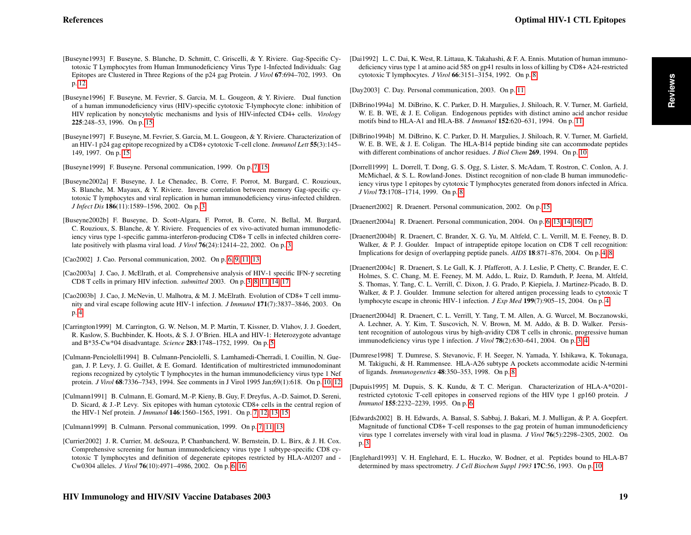- <span id="page-16-26"></span><span id="page-16-25"></span><span id="page-16-24"></span><span id="page-16-15"></span><span id="page-16-3"></span><span id="page-16-2"></span>[Buseyne1993] F. Buseyne, S. Blanche, D. Schmitt, C. Griscelli, & Y. Riviere. Gag-Specific Cytotoxic T Lymphocytes from Human Immunodeficiency Virus Type 1-Infected Individuals: Gag Epitopes are Clustered in Three Regions of the p24 gag Protein. *J Virol* 67:694–702, 1993. On p. [12](#page-9-0)
	- [Buseyne1996] F. Buseyne, M. Fevrier, S. Garcia, M. L. Gougeon, & Y. Riviere. Dual function of a human immunodeficiency virus (HIV)-specific cytotoxic T-lymphocyte clone: inhibition of HIV replication by noncytolytic mechanisms and lysis of HIV-infected CD4+ cells. *Virology* 225:248–53, 1996. On p. [15](#page-12-0)
	- [Buseyne1997] F. Buseyne, M. Fevrier, S. Garcia, M. L. Gougeon, & Y. Riviere. Characterization of an HIV-1 p24 gag epitope recognized by a CD8+ cytotoxic T-cell clone. *Immunol Lett* 55(3):145– 149, 1997. On p. [15](#page-12-0)
	- [Buseyne1999] F. Buseyne. Personal communication, 1999. On p. [7,](#page-4-0) [15](#page-12-0)
	- [Buseyne2002a] F. Buseyne, J. Le Chenadec, B. Corre, F. Porrot, M. Burgard, C. Rouzioux, S. Blanche, M. Mayaux, & Y. Riviere. Inverse correlation between memory Gag-specific cytotoxic T lymphocytes and viral replication in human immunodeficiency virus-infected children. *J Infect Dis* 186(11):1589–1596, 2002. On p. [3](#page-0-1)
	- [Buseyne2002b] F. Buseyne, D. Scott-Algara, F. Porrot, B. Corre, N. Bellal, M. Burgard, C. Rouzioux, S. Blanche, & Y. Riviere. Frequencies of ex vivo-activated human immunodeficiency virus type 1-specific gamma-interferon-producing CD8+ T cells in infected children correlate positively with plasma viral load. *J Virol* 76(24):12414–22, 2002. On p. [3](#page-0-1)
	- [Cao2002] J. Cao. Personal communication, 2002. On p. [6,](#page-3-0) [9,](#page-6-0) [11,](#page-8-0) [13](#page-10-0)
	- [Cao2003a] J. Cao, J. McElrath, et al. Comprehensive analysis of HIV-1 specific IFN-γ secreting CD8 T cells in primary HIV infection. *submitted* 2003. On p. [3,](#page-0-1) [8,](#page-5-0) [11,](#page-8-0) [14,](#page-11-0) [17](#page-14-0)
	- [Cao2003b] J. Cao, J. McNevin, U. Malhotra, & M. J. McElrath. Evolution of CD8+ T cell immunity and viral escape following acute HIV-1 infection. *J Immunol* 171(7):3837–3846, 2003. On p. [4](#page-1-0)
	- [Carrington1999] M. Carrington, G. W. Nelson, M. P. Martin, T. Kissner, D. Vlahov, J. J. Goedert, R. Kaslow, S. Buchbinder, K. Hoots, & S. J. O'Brien. HLA and HIV-1: Heterozygote advantage and B\*35-Cw\*04 disadvantage. *Science* 283:1748–1752, 1999. On p. [5](#page-2-0)
	- [Culmann-Penciolelli1994] B. Culmann-Penciolelli, S. Lamhamedi-Cherradi, I. Couillin, N. Guegan, J. P. Levy, J. G. Guillet, & E. Gomard. Identification of multirestricted immunodominant regions recognized by cytolytic T lymphocytes in the human immunodeficiency virus type 1 Nef protein. *J Virol* 68:7336–7343, 1994. See comments in J Virol 1995 Jan;69(1):618. On p. [10,](#page-7-0) [12](#page-9-0)
	- [Culmann1991] B. Culmann, E. Gomard, M.-P. Kieny, B. Guy, F. Dreyfus, A.-D. Saimot, D. Sereni, D. Sicard, & J.-P. Levy. Six epitopes with human cytotoxic CD8+ cells in the central region of the HIV-1 Nef protein. *J Immunol* 146:1560–1565, 1991. On p. [7,](#page-4-0) [12,](#page-9-0) [13,](#page-10-0) [15](#page-12-0)

<span id="page-16-20"></span><span id="page-16-14"></span><span id="page-16-13"></span><span id="page-16-9"></span><span id="page-16-8"></span><span id="page-16-7"></span><span id="page-16-0"></span>[Culmann1999] B. Culmann. Personal communication, 1999. On p. [7,](#page-4-0) [11,](#page-8-0) [13](#page-10-0)

<span id="page-16-12"></span>[Currier2002] J. R. Currier, M. deSouza, P. Chanbancherd, W. Bernstein, D. L. Birx, & J. H. Cox. Comprehensive screening for human immunodeficiency virus type 1 subtype-specific CD8 cytotoxic T lymphocytes and definition of degenerate epitopes restricted by HLA-A0207 and - Cw0304 alleles. *J Virol* 76(10):4971–4986, 2002. On p. [6,](#page-3-0) [16](#page-13-0)

<span id="page-16-17"></span>[Dai1992] L. C. Dai, K. West, R. Littaua, K. Takahashi, & F. A. Ennis. Mutation of human immunodeficiency virus type 1 at amino acid 585 on gp41 results in loss of killing by CD8+ A24-restricted cytotoxic T lymphocytes. *J Virol* 66:3151–3154, 1992. On p. [8](#page-5-0)

<span id="page-16-23"></span>[Day2003] C. Day. Personal communication, 2003. On p. [11](#page-8-0)

- <span id="page-16-22"></span>[DiBrino1994a] M. DiBrino, K. C. Parker, D. H. Margulies, J. Shiloach, R. V. Turner, M. Garfield, W. E. B. WE, & J. E. Coligan. Endogenous peptides with distinct amino acid anchor residue motifs bind to HLA-A1 and HLA-B8. *J Immunol* 152:620–631, 1994. On p. [11](#page-8-0)
- <span id="page-16-21"></span>[DiBrino1994b] M. DiBrino, K. C. Parker, D. H. Margulies, J. Shiloach, R. V. Turner, M. Garfield, W. E. B. WE, & J. E. Coligan. The HLA-B14 peptide binding site can accommodate peptides with different combinations of anchor residues. *J Biol Chem* 269, 1994. On p. [10](#page-7-0)
- <span id="page-16-16"></span>[Dorrell1999] L. Dorrell, T. Dong, G. S. Ogg, S. Lister, S. McAdam, T. Rostron, C. Conlon, A. J. McMichael, & S. L. Rowland-Jones. Distinct recognition of non-clade B human immunodeficiency virus type 1 epitopes by cytotoxic T lymphocytes generated from donors infected in Africa. *J Virol* 73:1708–1714, 1999. On p. [8](#page-5-0)

<span id="page-16-27"></span>[Draenert2002] R. Draenert. Personal communication, 2002. On p. [15](#page-12-0)

<span id="page-16-10"></span>[Draenert2004a] R. Draenert. Personal communication, 2004. On p. [6,](#page-3-0) [13,](#page-10-0) [14,](#page-11-0) [16,](#page-13-0) [17](#page-14-0)

- <span id="page-16-5"></span>[Draenert2004b] R. Draenert, C. Brander, X. G. Yu, M. Altfeld, C. L. Verrill, M. E. Feeney, B. D. Walker, & P. J. Goulder. Impact of intrapeptide epitope location on CD8 T cell recognition: Implications for design of overlapping peptide panels. *AIDS* 18:871–876, 2004. On p. [4,](#page-1-0) [8](#page-5-0)
- <span id="page-16-6"></span>[Draenert2004c] R. Draenert, S. Le Gall, K. J. Pfafferott, A. J. Leslie, P. Chetty, C. Brander, E. C. Holmes, S. C. Chang, M. E. Feeney, M. M. Addo, L. Ruiz, D. Ramduth, P. Jeena, M. Altfeld, S. Thomas, Y. Tang, C. L. Verrill, C. Dixon, J. G. Prado, P. Kiepiela, J. Martinez-Picado, B. D. Walker, & P. J. Goulder. Immune selection for altered antigen processing leads to cytotoxic T lymphocyte escape in chronic HIV-1 infection. *J Exp Med* 199(7):905–15, 2004. On p. [4](#page-1-0)
- <span id="page-16-1"></span>[Draenert2004d] R. Draenert, C. L. Verrill, Y. Tang, T. M. Allen, A. G. Wurcel, M. Boczanowski, A. Lechner, A. Y. Kim, T. Suscovich, N. V. Brown, M. M. Addo, & B. D. Walker. Persistent recognition of autologous virus by high-avidity CD8 T cells in chronic, progressive human immunodeficiency virus type 1 infection. *J Virol* 78(2):630–641, 2004. On p. [3,](#page-0-1) [4](#page-1-0)
- <span id="page-16-18"></span>[Dumrese1998] T. Dumrese, S. Stevanovic, F. H. Seeger, N. Yamada, Y. Ishikawa, K. Tokunaga, M. Takiguchi, & H. Rammensee. HLA-A26 subtype A pockets accommodate acidic N-termini of ligands. *Immunogenetics* 48:350–353, 1998. On p. [8](#page-5-0)
- <span id="page-16-11"></span>[Dupuis1995] M. Dupuis, S. K. Kundu, & T. C. Merigan. Characterization of HLA-A\*0201 restricted cytotoxic T-cell epitopes in conserved regions of the HIV type 1 gp160 protein. *J Immunol* 155:2232–2239, 1995. On p. [6](#page-3-0)
- <span id="page-16-4"></span>[Edwards2002] B. H. Edwards, A. Bansal, S. Sabbaj, J. Bakari, M. J. Mulligan, & P. A. Goepfert. Magnitude of functional CD8+ T-cell responses to the gag protein of human immunodeficiency virus type 1 correlates inversely with viral load in plasma. *J Virol* 76(5):2298–2305, 2002. On p. [3](#page-0-1)
- <span id="page-16-19"></span>[Englehard1993] V. H. Englehard, E. L. Huczko, W. Bodner, et al. Peptides bound to HLA-B7 determined by mass spectrometry. *J Cell Biochem Suppl 1993* 17C:56, 1993. On p. [10](#page-7-0)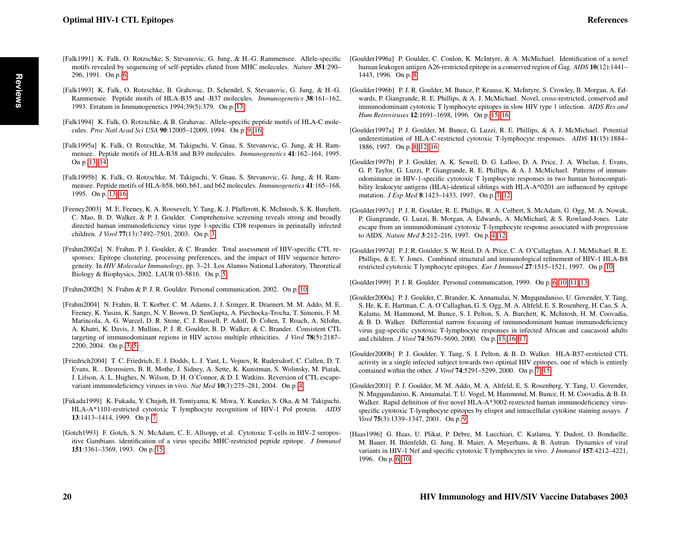- <span id="page-17-5"></span>[Falk1991] K. Falk, O. Rotzschke, S. Stevanovic, G. Jung, & H.-G. Rammensee. Allele-specific motifs revealed by sequencing of self-peptides eluted from MHC molecules. *Nature* 351:290– 296, 1991. On p. [6](#page-3-0)
- <span id="page-17-17"></span>[Falk1993] K. Falk, O. Rotzschke, B. Grahovac, D. Schendel, S. Stevanovic, G. Jung, & H.-G. Rammensee. Peptide motifs of HLA-B35 and -B37 molecules. *Immunogenetics* 38:161–162, 1993. Erratum in Immunogenetics 1994;39(5):379. On p. [13](#page-10-0)
- <span id="page-17-14"></span>[Falk1994] K. Falk, O. Rotzschke, & B. Grahavac. Allele-specific peptide motifs of HLA-C molecules. *Proc Natl Acad Sci USA* 90:12005–12009, 1994. On p. [9,](#page-6-0) [16](#page-13-0)
- <span id="page-17-18"></span>[Falk1995a] K. Falk, O. Rotzschke, M. Takiguchi, V. Gnau, S. Stevanovic, G. Jung, & H. Rammensee. Peptide motifs of HLA-B38 and B39 molecules. *Immunogenetics* 41:162–164, 1995. On p. [13,](#page-10-0) [14](#page-11-0)
- <span id="page-17-19"></span>[Falk1995b] K. Falk, O. Rotzschke, M. Takiguchi, V. Gnau, S. Stevanovic, G. Jung, & H. Rammensee. Peptide motifs of HLA-b58, b60, b61, and b62 molecules. *Immunogenetics* 41:165–168, 1995. On p. [13,](#page-10-0) [16](#page-13-0)
- <span id="page-17-0"></span>[Feeney2003] M. E. Feeney, K. A. Roosevelt, Y. Tang, K. J. Pfafferott, K. McIntosh, S. K. Burchett, C. Mao, B. D. Walker, & P. J. Goulder. Comprehensive screening reveals strong and broadly directed human immunodeficiency virus type 1-specific CD8 responses in perinatally infected children. *J Virol* 77(13):7492–7501, 2003. On p. [3](#page-0-1)
- <span id="page-17-4"></span>[Frahm2002a] N. Frahm, P. J. Goulder, & C. Brander. Total assessment of HIV-specific CTL responses: Epitope clustering, processing preferences, and the impact of HIV sequence heterogeneity. In *HIV Molecular Immunology*, pp. 3–21. Los Alamos National Laboratory, Theoretical Biology & Biophysics, 2002. LAUR 03-5816. On p. [5](#page-2-0)
- <span id="page-17-15"></span>[Frahm2002b] N. Frahm & P. J. R. Goulder. Personal communication, 2002. On p. [10](#page-7-0)
- <span id="page-17-1"></span>[Frahm2004] N. Frahm, B. T. Korber, C. M. Adams, J. J. Szinger, R. Draenert, M. M. Addo, M. E. Feeney, K. Yusim, K. Sango, N. V. Brown, D. SenGupta, A. Piechocka-Trocha, T. Simonis, F. M. Marincola, A. G. Wurcel, D. R. Stone, C. J. Russell, P. Adolf, D. Cohen, T. Roach, A. StJohn, A. Khatri, K. Davis, J. Mullins, P. J. R. Goulder, B. D. Walker, & C. Brander. Consistent CTL targeting of immunodominant regions in HIV across multiple ethnicities. *J Virol* 78(5):2187– 2200, 2004. On p. [3,](#page-0-1) [5](#page-2-0)
- <span id="page-17-3"></span>[Friedrich2004] T. C. Friedrich, E. J. Dodds, L. J. Yant, L. Vojnov, R. Rudersdorf, C. Cullen, D. T. Evans, R. . Desrosiers, B. R. Mothe, J. Sidney, A. Sette, K. Kunstman, S. Wolinsky, M. Piatak, J. Lifson, A. L. Hughes, N. Wilson, D. H. O'Connor, & D. I. Watkins. Reversion of CTL escapevariant immunodeficiency viruses in vivo. *Nat Med* 10(3):275–281, 2004. On p. [4](#page-1-0)
- <span id="page-17-10"></span>[Fukada1999] K. Fukada, Y. Chujoh, H. Tomiyama, K. Miwa, Y. Kaneko, S. Oka, & M. Takiguchi. HLA-A\*1101-restricted cytotoxic T lymphocyte recognition of HIV-1 Pol protein. *AIDS* 13:1413–1414, 1999. On p. [7](#page-4-0)
- <span id="page-17-21"></span>[Gotch1993] F. Gotch, S. N. McAdam, C. E. Allsopp, et al. Cytotoxic T-cells in HIV-2 seropositive Gambians. identification of a virus specific MHC-restricted peptide epitope. *J Immunol* 151:3361–3369, 1993. On p. [15](#page-12-0)
- <span id="page-17-12"></span>[Goulder1996a] P. Goulder, C. Conlon, K. McIntyre, & A. McMichael. Identification of a novel human leukogen antigen A26-restricted epitope in a conserved region of Gag. *AIDS* 10(12):1441– 1443, 1996. On p. [8](#page-5-0)
- <span id="page-17-22"></span>[Goulder1996b] P. J. R. Goulder, M. Bunce, P. Krausa, K. McIntyre, S. Crowley, B. Morgan, A. Edwards, P. Giangrande, R. E. Phillips, & A. J. McMichael. Novel, cross-restricted, conserved and immunodominant cytotoxic T lymphocyte epitopes in slow HIV type 1 infection. *AIDS Res and Hum Retroviruses* 12:1691–1698, 1996. On p. [15,](#page-12-0) [16](#page-13-0)
- <span id="page-17-11"></span>[Goulder1997a] P. J. Goulder, M. Bunce, G. Luzzi, R. E. Phillips, & A. J. McMichael. Potential underestimation of HLA-C-restricted cytotoxic T-lymphocyte responses. *AIDS* 11(15):1884– 1886, 1997. On p. [8,](#page-5-0) [12,](#page-9-0) [16](#page-13-0)
- <span id="page-17-8"></span>[Goulder1997b] P. J. Goulder, A. K. Sewell, D. G. Lalloo, D. A. Price, J. A. Whelan, J. Evans, G. P. Taylor, G. Luzzi, P. Giangrande, R. E. Phillips, & A. J. McMichael. Patterns of immunodominance in HIV-1-specific cytotoxic T lymphocyte responses in two human histocompatibility leukocyte antigens (HLA)-identical siblings with HLA-A\*0201 are influenced by epitope mutation. *J Exp Med* 8:1423–1433, 1997. On p. [7,](#page-4-0) [12](#page-9-0)
- <span id="page-17-2"></span>[Goulder1997c] P. J. R. Goulder, R. E. Phillips, R. A. Colbert, S. McAdam, G. Ogg, M. A. Nowak, P. Giangrande, G. Luzzi, B. Morgan, A. Edwards, A. McMichael, & S. Rowland-Jones. Late escape from an immunodominant cytotoxic T-lymphocyte response associated with progression to AIDS. *Nature Med* 3:212–216, 1997. On p. [4,](#page-1-0) [12](#page-9-0)
- <span id="page-17-16"></span>[Goulder1997d] P. J. R. Goulder, S. W. Reid, D. A. Price, C. A. O'Callaghan, A. J. McMichael, R. E. Phillips, & E. Y. Jones. Combined structural and immunological refinement of HIV-1 HLA-B8 restricted cytotoxic T lymphocyte epitopes. *Eur J Immunol* 27:1515–1521, 1997. On p. [10](#page-7-0)

<span id="page-17-7"></span>[Goulder1999] P. J. R. Goulder. Personal communication, 1999. On p. [6,](#page-3-0) [10,](#page-7-0) [11,](#page-8-0) [13](#page-10-0)

- <span id="page-17-20"></span>[Goulder2000a] P. J. Goulder, C. Brander, K. Annamalai, N. Mngqundaniso, U. Govender, Y. Tang, S. He, K. E. Hartman, C. A. O'Callaghan, G. S. Ogg, M. A. Altfeld, E. S. Rosenberg, H. Cao, S. A. Kalams, M. Hammond, M. Bunce, S. I. Pelton, S. A. Burchett, K. McIntosh, H. M. Coovadia, & B. D. Walker. Differential narrow focusing of immunodominant human immunodeficiency virus gag-specific cytotoxic T-lymphocyte responses in infected African and caucasoid adults and children. *J Virol* 74:5679–5690, 2000. On p. [13,](#page-10-0) [16,](#page-13-0) [17](#page-14-0)
- <span id="page-17-9"></span>[Goulder2000b] P. J. Goulder, Y. Tang, S. I. Pelton, & B. D. Walker. HLA-B57-restricted CTL activity in a single infected subject towards two optimal HIV epitopes, one of which is entirely contained within the other. *J Virol* 74:5291–5299, 2000. On p. [7,](#page-4-0) [15](#page-12-0)
- <span id="page-17-13"></span>[Goulder2001] P. J. Goulder, M. M. Addo, M. A. Altfeld, E. S. Rosenberg, Y. Tang, U. Govender, N. Mngqundaniso, K. Annamalai, T. U. Vogel, M. Hammond, M. Bunce, H. M. Coovadia, & B. D. Walker. Rapid definition of five novel HLA-A\*3002-restricted human immunodeficiency virusspecific cytotoxic T-lymphocyte epitopes by elispot and intracellular cytokine staining assays. *J Virol* 75(3):1339–1347, 2001. On p. [9](#page-6-0)
- <span id="page-17-6"></span>[Haas1996] G. Haas, U. Plikat, P. Debre, M. Lucchiari, C. Katlama, Y. Dudoit, O. Bonduelle, M. Bauer, H. Ihlenfeldt, G. Jung, B. Maier, A. Meyerhans, & B. Autran. Dynamics of viral variants in HIV-1 Nef and specific cytotoxic T lymphocytes in vivo. *J Immunol* 157:4212–4221, 1996. On p. [6,](#page-3-0) [10](#page-7-0)

**Reviews**

**Reviews**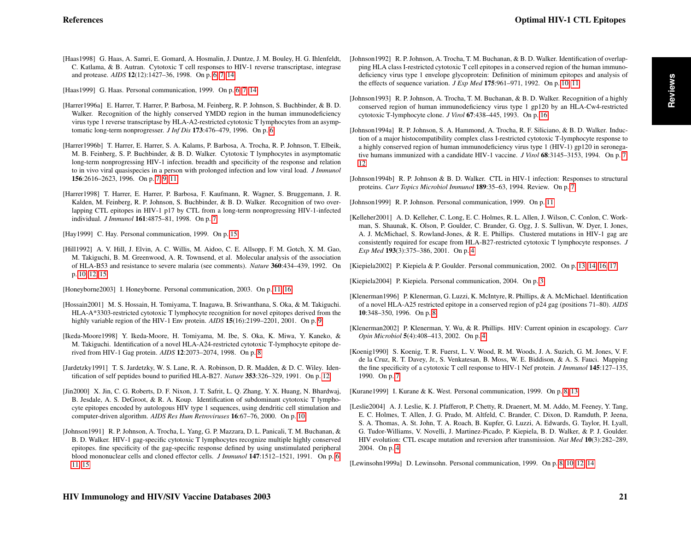<span id="page-18-5"></span>[Haas1998] G. Haas, A. Samri, E. Gomard, A. Hosmalin, J. Duntze, J. M. Bouley, H. G. Ihlenfeldt, C. Katlama, & B. Autran. Cytotoxic T cell responses to HIV-1 reverse transcriptase, integrase and protease. *AIDS* 12(12):1427–36, 1998. On p. [6,](#page-3-0) [7,](#page-4-0) [14](#page-11-0)

<span id="page-18-6"></span>[Haas1999] G. Haas. Personal communication, 1999. On p. [6,](#page-3-0) [7,](#page-4-0) [14](#page-11-0)

- <span id="page-18-7"></span>[Harrer1996a] E. Harrer, T. Harrer, P. Barbosa, M. Feinberg, R. P. Johnson, S. Buchbinder, & B. D. Walker. Recognition of the highly conserved YMDD region in the human immunodeficiency virus type 1 reverse transcriptase by HLA-A2-restricted cytotoxic T lymphocytes from an asymptomatic long-term nonprogresser. *J Inf Dis* 173:476–479, 1996. On p. [6](#page-3-0)
- <span id="page-18-8"></span>[Harrer1996b] T. Harrer, E. Harrer, S. A. Kalams, P. Barbosa, A. Trocha, R. P. Johnson, T. Elbeik, M. B. Feinberg, S. P. Buchbinder, & B. D. Walker. Cytotoxic T lymphocytes in asymptomatic long-term nonprogressing HIV-1 infection. breadth and specificity of the response and relation to in vivo viral quasispecies in a person with prolonged infection and low viral load. *J Immunol* 156:2616–2623, 1996. On p. [7,](#page-4-0) [9,](#page-6-0) [11](#page-8-0)
- <span id="page-18-11"></span>[Harrer1998] T. Harrer, E. Harrer, P. Barbosa, F. Kaufmann, R. Wagner, S. Bruggemann, J. R. Kalden, M. Feinberg, R. P. Johnson, S. Buchbinder, & B. D. Walker. Recognition of two overlapping CTL epitopes in HIV-1 p17 by CTL from a long-term nonprogressing HIV-1-infected individual. *J Immunol* 161:4875–81, 1998. On p. [7](#page-4-0)

<span id="page-18-25"></span>[Hay1999] C. Hay. Personal communication, 1999. On p. [15](#page-12-0)

- <span id="page-18-19"></span>[Hill1992] A. V. Hill, J. Elvin, A. C. Willis, M. Aidoo, C. E. Allsopp, F. M. Gotch, X. M. Gao, M. Takiguchi, B. M. Greenwood, A. R. Townsend, et al. Molecular analysis of the association of HLA-B53 and resistance to severe malaria (see comments). *Nature* 360:434–439, 1992. On p. [10,](#page-7-0) [12,](#page-9-0) [15](#page-12-0)
- <span id="page-18-22"></span>[Honeyborne2003] I. Honeyborne. Personal communication, 2003. On p. [11,](#page-8-0) [16](#page-13-0)
- <span id="page-18-17"></span>[Hossain2001] M. S. Hossain, H. Tomiyama, T. Inagawa, B. Sriwanthana, S. Oka, & M. Takiguchi. HLA-A\*3303-restricted cytotoxic T lymphocyte recognition for novel epitopes derived from the highly variable region of the HIV-1 Env protein. *AIDS* **15**(16):2199–2201, 2001. On p. [9](#page-6-0)
- <span id="page-18-13"></span>[Ikeda-Moore1998] Y. Ikeda-Moore, H. Tomiyama, M. Ibe, S. Oka, K. Miwa, Y. Kaneko, & M. Takiguchi. Identification of a novel HLA-A24-restricted cytotoxic T-lymphocyte epitope derived from HIV-1 Gag protein. *AIDS* 12:2073–2074, 1998. On p. [8](#page-5-0)
- <span id="page-18-23"></span>[Jardetzky1991] T. S. Jardetzky, W. S. Lane, R. A. Robinson, D. R. Madden, & D. C. Wiley. Identification of self peptides bound to purified HLA-B27. *Nature* 353:326–329, 1991. On p. [12](#page-9-0)
- <span id="page-18-18"></span>[Jin2000] X. Jin, C. G. Roberts, D. F. Nixon, J. T. Safrit, L. Q. Zhang, Y. X. Huang, N. Bhardwaj, B. Jesdale, A. S. DeGroot, & R. A. Koup. Identification of subdominant cytotoxic T lymphocyte epitopes encoded by autologous HIV type 1 sequences, using dendritic cell stimulation and computer-driven algorithm. *AIDS Res Hum Retroviruses* 16:67–76, 2000. On p. [10](#page-7-0)
- <span id="page-18-4"></span>[Johnson1991] R. P. Johnson, A. Trocha, L. Yang, G. P. Mazzara, D. L. Panicali, T. M. Buchanan, & B. D. Walker. HIV-1 gag-specific cytotoxic T lymphocytes recognize multiple highly conserved epitopes. fine specificity of the gag-specific response defined by using unstimulated peripheral blood mononuclear cells and cloned effector cells. *J Immunol* 147:1512–1521, 1991. On p. [6,](#page-3-0) [11,](#page-8-0) [15](#page-12-0)
- <span id="page-18-20"></span>[Johnson1992] R. P. Johnson, A. Trocha, T. M. Buchanan, & B. D. Walker. Identification of overlapping HLA class I-restricted cytotoxic T cell epitopes in a conserved region of the human immunodeficiency virus type 1 envelope glycoprotein: Definition of minimum epitopes and analysis of the effects of sequence variation. *J Exp Med* 175:961–971, 1992. On p. [10,](#page-7-0) [11](#page-8-0)
- <span id="page-18-26"></span>[Johnson1993] R. P. Johnson, A. Trocha, T. M. Buchanan, & B. D. Walker. Recognition of a highly conserved region of human immunodeficiency virus type 1 gp120 by an HLA-Cw4-restricted cytotoxic T-lymphocyte clone. *J Virol* 67:438–445, 1993. On p. [16](#page-13-0)
- <span id="page-18-9"></span>[Johnson1994a] R. P. Johnson, S. A. Hammond, A. Trocha, R. F. Siliciano, & B. D. Walker. Induction of a major histocompatibility complex class I-restricted cytotoxic T-lymphocyte response to a highly conserved region of human immunodeficiency virus type 1 (HIV-1) gp120 in seronegative humans immunized with a candidate HIV-1 vaccine. *J Virol* 68:3145–3153, 1994. On p. [7,](#page-4-0) [12](#page-9-0)
- <span id="page-18-12"></span>[Johnson1994b] R. P. Johnson & B. D. Walker. CTL in HIV-1 infection: Responses to structural proteins. *Curr Topics Microbiol Immunol* 189:35–63, 1994. Review. On p. [7](#page-4-0)

<span id="page-18-21"></span>[Johnson1999] R. P. Johnson. Personal communication, 1999. On p. [11](#page-8-0)

- <span id="page-18-1"></span>[Kelleher2001] A. D. Kelleher, C. Long, E. C. Holmes, R. L. Allen, J. Wilson, C. Conlon, C. Workman, S. Shaunak, K. Olson, P. Goulder, C. Brander, G. Ogg, J. S. Sullivan, W. Dyer, I. Jones, A. J. McMichael, S. Rowland-Jones, & R. E. Phillips. Clustered mutations in HIV-1 gag are consistently required for escape from HLA-B27-restricted cytotoxic T lymphocyte responses. *J Exp Med* 193(3):375–386, 2001. On p. [4](#page-1-0)
- <span id="page-18-24"></span>[Kiepiela2002] P. Kiepiela & P. Goulder. Personal communication, 2002. On p. [13,](#page-10-0) [14,](#page-11-0) [16,](#page-13-0) [17](#page-14-0)

<span id="page-18-0"></span>[Kiepiela2004] P. Kiepiela. Personal communication, 2004. On p. [3](#page-0-1)

- <span id="page-18-16"></span>[Klenerman1996] P. Klenerman, G. Luzzi, K. McIntyre, R. Phillips, & A. McMichael. Identification of a novel HLA-A25 restricted epitope in a conserved region of p24 gag (positions 71–80). *AIDS* 10:348–350, 1996. On p. [8](#page-5-0)
- <span id="page-18-2"></span>[Klenerman2002] P. Klenerman, Y. Wu, & R. Phillips. HIV: Current opinion in escapology. *Curr Opin Microbiol* 5(4):408–413, 2002. On p. [4](#page-1-0)
- <span id="page-18-10"></span>[Koenig1990] S. Koenig, T. R. Fuerst, L. V. Wood, R. M. Woods, J. A. Suzich, G. M. Jones, V. F. de la Cruz, R. T. Davey, Jr., S. Venkatesan, B. Moss, W. E. Biddison, & A. S. Fauci. Mapping the fine specificity of a cytotoxic T cell response to HIV-1 Nef protein. *J Immunol* 145:127–135, 1990. On p. [7](#page-4-0)

<span id="page-18-15"></span>[Kurane1999] I. Kurane & K. West. Personal communication, 1999. On p. [8,](#page-5-0) [13](#page-10-0)

<span id="page-18-3"></span>[Leslie2004] A. J. Leslie, K. J. Pfafferott, P. Chetty, R. Draenert, M. M. Addo, M. Feeney, Y. Tang, E. C. Holmes, T. Allen, J. G. Prado, M. Altfeld, C. Brander, C. Dixon, D. Ramduth, P. Jeena, S. A. Thomas, A. St. John, T. A. Roach, B. Kupfer, G. Luzzi, A. Edwards, G. Taylor, H. Lyall, G. Tudor-Williams, V. Novelli, J. Martinez-Picado, P. Kiepiela, B. D. Walker, & P. J. Goulder. HIV evolution: CTL escape mutation and reversion after transmission. *Nat Med* 10(3):282–289, 2004. On p. [4](#page-1-0)

<span id="page-18-14"></span>[Lewinsohn1999a] D. Lewinsohn. Personal communication, 1999. On p. [8,](#page-5-0) [10,](#page-7-0) [12,](#page-9-0) [14](#page-11-0)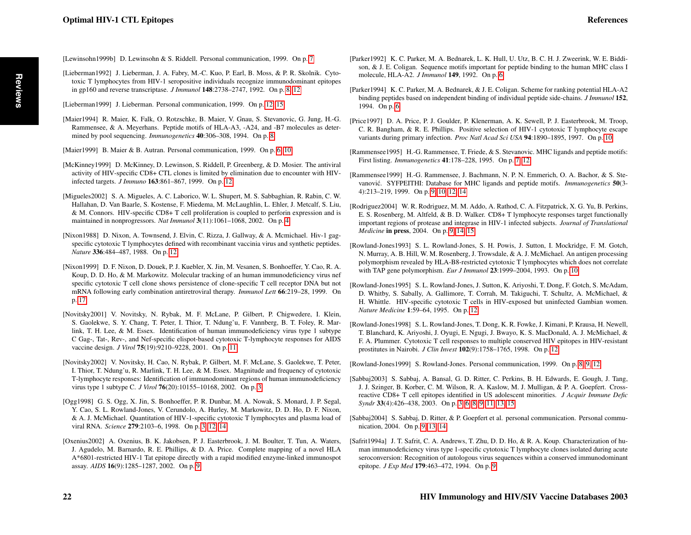<span id="page-19-7"></span>[Lewinsohn1999b] D. Lewinsohn & S. Riddell. Personal communication, 1999. On p. [7](#page-4-0)

in gp160 and reverse transcriptase. *J Immunol* 148:2738–2747, 1992. On p. [8,](#page-5-0) [12](#page-9-0)

<span id="page-19-23"></span>[Lieberman1999] J. Lieberman. Personal communication, 1999. On p. [12,](#page-9-0) [15](#page-12-0)

<span id="page-19-6"></span>mined by pool sequencing. *Immunogenetics* 40:306–308, 1994. On p. [8](#page-5-0) [Maier1999] B. Maier & B. Autran. Personal communication, 1999. On p. [6,](#page-3-0) [10](#page-7-0)

maintained in nonprogressors. *Nat Immunol* 3(11):1061–1068, 2002. On p. [4](#page-1-0)

infected targets. *J Immuno* 163:861–867, 1999. On p. [12](#page-9-0)

vaccine design. *J Virol* 75(19):9210–9228, 2001. On p. [11](#page-8-0)

*Nature* 336:484–487, 1988. On p. [12](#page-9-0)

p. [17](#page-14-0)

<span id="page-19-11"></span>[Lieberman1992] J. Lieberman, J. A. Fabry, M.-C. Kuo, P. Earl, B. Moss, & P. R. Skolnik. Cytotoxic T lymphocytes from HIV-1 seropositive individuals recognize immunodominant epitopes

<span id="page-19-9"></span>[Maier1994] R. Maier, K. Falk, O. Rotzschke, B. Maier, V. Gnau, S. Stevanovic, G. Jung, H.-G. Rammensee, & A. Meyerhans. Peptide motifs of HLA-A3, -A24, and -B7 molecules as deter-

<span id="page-19-21"></span>[McKinney1999] D. McKinney, D. Lewinson, S. Riddell, P. Greenberg, & D. Mosier. The antiviral activity of HIV-specific CD8+ CTL clones is limited by elimination due to encounter with HIV-

<span id="page-19-3"></span>[Migueles2002] S. A. Migueles, A. C. Laborico, W. L. Shupert, M. S. Sabbaghian, R. Rabin, C. W. Hallahan, D. Van Baarle, S. Kostense, F. Miedema, M. McLaughlin, L. Ehler, J. Metcalf, S. Liu, & M. Connors. HIV-specific CD8+ T cell proliferation is coupled to perforin expression and is

<span id="page-19-22"></span>[Nixon1988] D. Nixon, A. Townsend, J. Elvin, C. Rizza, J. Gallway, & A. Mcmichael. Hiv-1 gagspecific cytotoxic T lymphocytes defined with recombinant vaccinia virus and synthetic peptides.

<span id="page-19-25"></span>[Nixon1999] D. F. Nixon, D. Douek, P. J. Kuebler, X. Jin, M. Vesanen, S. Bonhoeffer, Y. Cao, R. A. Koup, D. D. Ho, & M. Markowitz. Molecular tracking of an human immunodeficiency virus nef specific cytotoxic T cell clone shows persistence of clone-specific T cell receptor DNA but not mRNA following early combination antiretroviral therapy. *Immunol Lett* 66:219–28, 1999. On

<span id="page-19-19"></span>[Novitsky2001] V. Novitsky, N. Rybak, M. F. McLane, P. Gilbert, P. Chigwedere, I. Klein, S. Gaolekwe, S. Y. Chang, T. Peter, I. Thior, T. Ndung'u, F. Vannberg, B. T. Foley, R. Marlink, T. H. Lee, & M. Essex. Identification of human immunodeficiency virus type 1 subtype C Gag-, Tat-, Rev-, and Nef-specific elispot-based cytotoxic T-lymphocyte responses for AIDS

<span id="page-19-0"></span>[Novitsky2002] V. Novitsky, H. Cao, N. Rybak, P. Gilbert, M. F. McLane, S. Gaolekwe, T. Peter, I. Thior, T. Ndung'u, R. Marlink, T. H. Lee, & M. Essex. Magnitude and frequency of cytotoxic T-lymphocyte responses: Identification of immunodominant regions of human immunodeficiency

- <span id="page-19-2"></span>[Ogg1998] G. S. Ogg, X. Jin, S. Bonhoeffer, P. R. Dunbar, M. A. Nowak, S. Monard, J. P. Segal, Y. Cao, S. L. Rowland-Jones, V. Cerundolo, A. Hurley, M. Markowitz, D. D. Ho, D. F. Nixon, & A. J. McMichael. Quantitation of HIV-1-specific cytotoxic T lymphocytes and plasma load of viral RNA. *Science* 279:2103–6, 1998. On p. [3,](#page-0-1) [12,](#page-9-0) [14](#page-11-0)
- <span id="page-19-15"></span>[Oxenius2002] A. Oxenius, B. K. Jakobsen, P. J. Easterbrook, J. M. Boulter, T. Tun, A. Waters, J. Agudelo, M. Barnardo, R. E. Phillips, & D. A. Price. Complete mapping of a novel HLA A\*6801-restricted HIV-1 Tat epitope directly with a rapid modified enzyme-linked immunospot assay. *AIDS* 16(9):1285–1287, 2002. On p. [9](#page-6-0)
- <span id="page-19-4"></span>[Parker1992] K. C. Parker, M. A. Bednarek, L. K. Hull, U. Utz, B. C. H. J. Zweerink, W. E. Biddison, & J. E. Coligan. Sequence motifs important for peptide binding to the human MHC class I molecule, HLA-A2. *J Immunol* 149, 1992. On p. [6](#page-3-0)
- <span id="page-19-5"></span>[Parker1994] K. C. Parker, M. A. Bednarek, & J. E. Coligan. Scheme for ranking potential HLA-A2 binding peptides based on independent binding of individual peptide side-chains. *J Immunol* 152, 1994. On p. [6](#page-3-0)
- <span id="page-19-18"></span>[Price1997] D. A. Price, P. J. Goulder, P. Klenerman, A. K. Sewell, P. J. Easterbrook, M. Troop, C. R. Bangham, & R. E. Phillips. Positive selection of HIV-1 cytotoxic T lymphocyte escape variants during primary infection. *Proc Natl Acad Sci USA* 94:1890–1895, 1997. On p. [10](#page-7-0)
- <span id="page-19-8"></span>[Rammensee1995] H.-G. Rammensee, T. Friede, & S. Stevanovic. MHC ligands and peptide motifs: First listing. *Immunogenetics* 41:178–228, 1995. On p. [7,](#page-4-0) [12](#page-9-0)
- <span id="page-19-12"></span>[Rammensee1999] H.-G. Rammensee, J. Bachmann, N. P. N. Emmerich, O. A. Bachor, & S. Stevanović. SYFPEITHI: Database for MHC ligands and peptide motifs. *Immunogenetics* 50(3-4):213–219, 1999. On p. [9,](#page-6-0) [10,](#page-7-0) [12,](#page-9-0) [14](#page-11-0)
- <span id="page-19-13"></span>[Rodriguez2004] W. R. Rodriguez, M. M. Addo, A. Rathod, C. A. Fitzpatrick, X. G. Yu, B. Perkins, E. S. Rosenberg, M. Altfeld, & B. D. Walker. CD8+ T lymphocyte responses target functionally important regions of protease and integrase in HIV-1 infected subjects. *Journal of Translational Medicine* in press, 2004. On p. [9,](#page-6-0) [14,](#page-11-0) [15](#page-12-0)
- <span id="page-19-17"></span>[Rowland-Jones1993] S. L. Rowland-Jones, S. H. Powis, J. Sutton, I. Mockridge, F. M. Gotch, N. Murray, A. B. Hill, W. M. Rosenberg, J. Trowsdale, & A. J. McMichael. An antigen processing polymorphism revealed by HLA-B8-restricted cytotoxic T lymphocytes which does not correlate with TAP gene polymorphism. *Eur J Immunol* 23:1999–2004, 1993. On p. [10](#page-7-0)
- <span id="page-19-24"></span>[Rowland-Jones1995] S. L. Rowland-Jones, J. Sutton, K. Ariyoshi, T. Dong, F. Gotch, S. McAdam, D. Whitby, S. Sabally, A. Gallimore, T. Corrah, M. Takiguchi, T. Schultz, A. McMichael, & H. Whittle. HIV-specific cytotoxic T cells in HIV-exposed but uninfected Gambian women. *Nature Medicine* 1:59–64, 1995. On p. [12](#page-9-0)
- <span id="page-19-20"></span>[Rowland-Jones1998] S. L. Rowland-Jones, T. Dong, K. R. Fowke, J. Kimani, P. Krausa, H. Newell, T. Blanchard, K. Ariyoshi, J. Oyugi, E. Ngugi, J. Bwayo, K. S. MacDonald, A. J. McMichael, & F. A. Plummer. Cytotoxic T cell responses to multiple conserved HIV epitopes in HIV-resistant prostitutes in Nairobi. *J Clin Invest* 102(9):1758–1765, 1998. On p. [12](#page-9-0)
- <span id="page-19-10"></span>[Rowland-Jones1999] S. Rowland-Jones. Personal communication, 1999. On p. [8,](#page-5-0) [9,](#page-6-0) [12](#page-9-0)
- <span id="page-19-1"></span>[Sabbaj2003] S. Sabbaj, A. Bansal, G. D. Ritter, C. Perkins, B. H. Edwards, E. Gough, J. Tang, J. J. Szinger, B. Korber, C. M. Wilson, R. A. Kaslow, M. J. Mulligan, & P. A. Goepfert. Crossreactive CD8+ T cell epitopes identified in US adolescent minorities. *J Acquir Immune Defic Syndr* 33(4):426–438, 2003. On p. [3,](#page-0-1) [6,](#page-3-0) [8,](#page-5-0) [9,](#page-6-0) [11,](#page-8-0) [13,](#page-10-0) [15](#page-12-0)
- <span id="page-19-16"></span>[Sabbaj2004] S. Sabbaj, D. Ritter, & P. Goepfert et al. personal communication. Personal communication, 2004. On p. [9,](#page-6-0) [13,](#page-10-0) [14](#page-11-0)
- <span id="page-19-14"></span>[Safrit1994a] J. T. Safrit, C. A. Andrews, T. Zhu, D. D. Ho, & R. A. Koup. Characterization of human immunodeficiency virus type 1-specific cytotoxic T lymphocyte clones isolated during acute seroconversion: Recognition of autologous virus sequences within a conserved immunodominant epitope. *J Exp Med* 179:463–472, 1994. On p. [9](#page-6-0)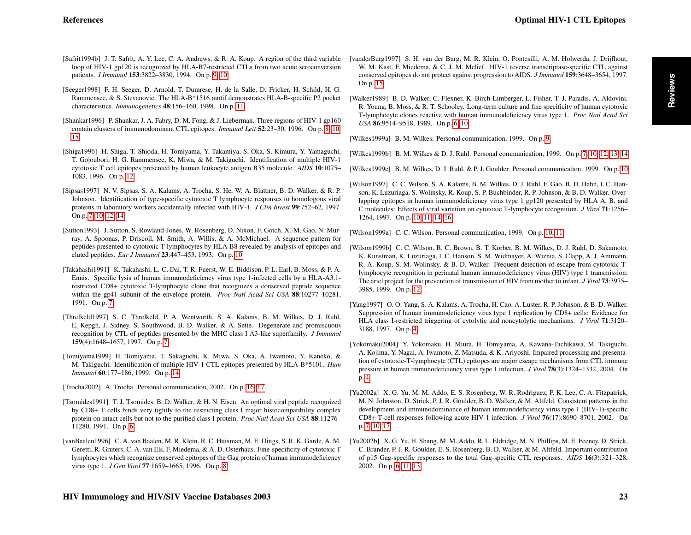- <span id="page-20-12"></span>[Safrit1994b] J. T. Safrit, A. Y. Lee, C. A. Andrews, & R. A. Koup. A region of the third variable loop of HIV-1 gp120 is recognized by HLA-B7-restricted CTLs from two acute seroconversion patients. *J Immunol* 153:3822–3830, 1994. On p. [9,](#page-6-0) [10](#page-7-0)
- <span id="page-20-18"></span>[Seeger1998] F. H. Seeger, D. Arnold, T. Dumrese, H. de la Salle, D. Fricker, H. Schild, H. G. Rammensee, & S. Stevanovic. The HLA-B\*1516 motif demonstrates HLA-B-specific P2 pocket characteristics. *Immunogenetics* 48:156–160, 1998. On p. [11](#page-8-0)
- <span id="page-20-10"></span>[Shankar1996] P. Shankar, J. A. Fabry, D. M. Fong, & J. Lieberman. Three regions of HIV-1 gp160 contain clusters of immunodominant CTL epitopes. *Immunol Lett* 52:23–30, 1996. On p. [8,](#page-5-0) [10,](#page-7-0) [15](#page-12-0)
- <span id="page-20-20"></span>[Shiga1996] H. Shiga, T. Shioda, H. Tomiyama, Y. Takamiya, S. Oka, S. Kimura, Y. Yamaguchi, T. Gojoubori, H. G. Rammensee, K. Miwa, & M. Takiguchi. Identification of multiple HIV-1 cytotoxic T cell epitopes presented by human leukocyte antigen B35 molecule. *AIDS* 10:1075– 1083, 1996. On p. [12](#page-9-0)
- <span id="page-20-9"></span>[Sipsas1997] N. V. Sipsas, S. A. Kalams, A. Trocha, S. He, W. A. Blattner, B. D. Walker, & R. P. Johnson. Identification of type-specific cytotoxic T lymphocyte responses to homologous viral proteins in laboratory workers accidentally infected with HIV-1. *J Clin Invest* 99:752–62, 1997. On p. [7,](#page-4-0) [10,](#page-7-0) [12,](#page-9-0) [14](#page-11-0)
- <span id="page-20-17"></span>[Sutton1993] J. Sutton, S. Rowland-Jones, W. Rosenberg, D. Nixon, F. Gotch, X.-M. Gao, N. Murray, A. Spoonas, P. Driscoll, M. Smith, A. Willis, & A. McMichael. A sequence pattern for peptides presented to cytotoxic T lymphocytes by HLA B8 revealed by analysis of epitopes and eluted peptides. *Eur J Immunol* 23:447–453, 1993. On p. [10](#page-7-0)
- <span id="page-20-8"></span>[Takahashi1991] K. Takahashi, L.-C. Dai, T. R. Fuerst, W. E. Biddison, P. L. Earl, B. Moss, & F. A. Ennis. Specific lysis of human immunodeficiency virus type 1-infected cells by a HLA-A3.1 restricted CD8+ cytotoxic T-lymphocyte clone that recognizes a conserved peptide sequence within the gp41 subunit of the envelope protein. *Proc Natl Acad Sci USA* 88:10277–10281, 1991. On p. [7](#page-4-0)
- <span id="page-20-7"></span>[Threlkeld1997] S. C. Threlkeld, P. A. Wentworth, S. A. Kalams, B. M. Wilkes, D. J. Ruhl, E. Kepgh, J. Sidney, S. Southwood, B. D. Walker, & A. Sette. Degenerate and promiscuous recognition by CTL of peptides presented by the MHC class I A3-like superfamily. *J Immunol* 159(4):1648–1657, 1997. On p. [7](#page-4-0)
- <span id="page-20-21"></span>[Tomiyama1999] H. Tomiyama, T. Sakaguchi, K. Miwa, S. Oka, A. Iwamoto, Y. Kaneko, & M. Takiguchi. Identification of multiple HIV-1 CTL epitopes presented by HLA-B\*5101. *Hum Immunol* 60:177–186, 1999. On p. [14](#page-11-0)

<span id="page-20-23"></span>[Trocha2002] A. Trocha. Personal communication, 2002. On p. [16,](#page-13-0) [17](#page-14-0)

- <span id="page-20-4"></span>[Tsomides1991] T. J. Tsomides, B. D. Walker, & H. N. Eisen. An optimal viral peptide recognized by CD8+ T cells binds very tightly to the restricting class I major histocompatibility complex protein on intact cells but not to the purified class I protein. *Proc Natl Acad Sci USA* 88:11276– 11280, 1991. On p. [6](#page-3-0)
- <span id="page-20-11"></span>[vanBaalen1996] C. A. van Baalen, M. R. Klein, R. C. Huisman, M. E. Dings, S. R. K. Garde, A. M. Geretti, R. Gruters, C. A. van Els, F. Miedema, & A. D. Osterhaus. Fine-specificity of cytotoxic T lymphocytes which recognize conserved epitopes of the Gag protein of human immunodeficiency virus type 1. *J Gen Virol* 77:1659–1665, 1996. On p. [8](#page-5-0)
- <span id="page-20-22"></span>[vanderBurg1997] S. H. van der Burg, M. R. Klein, O. Pontesilli, A. M. Holwerda, J. Drijfhout, W. M. Kast, F. Miedema, & C. J. M. Melief. HIV-1 reverse transcriptase-specific CTL against conserved epitopes do not protect against progression to AIDS. *J Immunol* 159:3648–3654, 1997. On p. [15](#page-12-0)
- <span id="page-20-3"></span>[Walker1989] B. D. Walker, C. Flexner, K. Birch-Limberger, L. Fisher, T. J. Paradis, A. Aldovini, R. Young, B. Moss, & R. T. Schooley. Long-term culture and fine specificity of human cytotoxic T-lymphocyte clones reactive with human immunodeficiency virus type 1. *Proc Natl Acad Sci USA* 86:9514–9518, 1989. On p. [6,](#page-3-0) [10](#page-7-0)

<span id="page-20-13"></span>[Wilkes1999a] B. M. Wilkes. Personal communication, 1999. On p. [9](#page-6-0)

- <span id="page-20-5"></span>[Wilkes1999b] B. M. Wilkes & D. J. Ruhl. Personal communication, 1999. On p. [7,](#page-4-0) [10,](#page-7-0) [12,](#page-9-0) [13,](#page-10-0) [14](#page-11-0)
- <span id="page-20-15"></span>[Wilkes1999c] B. M. Wilkes, D. J. Ruhl, & P. J. Goulder. Personal communication, 1999. On p. [10](#page-7-0)
- <span id="page-20-16"></span>[Wilson1997] C. C. Wilson, S. A. Kalams, B. M. Wilkes, D. J. Ruhl, F. Gao, B. H. Hahn, I. C. Hanson, K. Luzuriaga, S. Wolinsky, R. Koup, S. P. Buchbinder, R. P. Johnson, & B. D. Walker. Overlapping epitopes in human immunodeficiency virus type 1 gp120 presented by HLA A, B, and C molecules: Effects of viral variation on cytotoxic T-lymphocyte recognition. *J Virol* 71:1256– 1264, 1997. On p. [10,](#page-7-0) [11,](#page-8-0) [14,](#page-11-0) [16](#page-13-0)

<span id="page-20-14"></span>[Wilson1999a] C. C. Wilson. Personal communication, 1999. On p. [10,](#page-7-0) [11](#page-8-0)

- <span id="page-20-19"></span>[Wilson1999b] C. C. Wilson, R. C. Brown, B. T. Korber, B. M. Wilkes, D. J. Ruhl, D. Sakamoto, K. Kunstman, K. Luzuriaga, I. C. Hanson, S. M. Widmayer, A. Wiznia, S. Clapp, A. J. Ammann, R. A. Koup, S. M. Wolinsky, & B. D. Walker. Frequent detection of escape from cytotoxic Tlymphocyte recognition in perinatal human immunodeficiency virus (HIV) type 1 transmission: The ariel project for the prevention of transmission of HIV from mother to infant. *J Virol* 73:3975– 3985, 1999. On p. [12](#page-9-0)
- <span id="page-20-0"></span>[Yang1997] O. O. Yang, S. A. Kalams, A. Trocha, H. Cao, A. Luster, R. P. Johnson, & B. D. Walker. Suppression of human immunodeficiency virus type 1 replication by CD8+ cells: Evidence for HLA class I-restricted triggering of cytolytic and noncytolytic mechanisms. *J Virol* 71:3120– 3188, 1997. On p. [4](#page-1-0)
- <span id="page-20-1"></span>[Yokomaku2004] Y. Yokomaku, H. Miura, H. Tomiyama, A. Kawana-Tachikawa, M. Takiguchi, A. Kojima, Y. Nagai, A. Iwamoto, Z. Matsuda, & K. Ariyoshi. Impaired processing and presentation of cytotoxic-T-lymphocyte (CTL) epitopes are major escape mechanisms from CTL immune pressure in human immunodeficiency virus type 1 infection. *J Virol* 78(3):1324–1332, 2004. On p. [4](#page-1-0)
- <span id="page-20-6"></span>[Yu2002a] X. G. Yu, M. M. Addo, E. S. Rosenberg, W. R. Rodriguez, P. K. Lee, C. A. Fitzpatrick, M. N. Johnston, D. Strick, P. J. R. Goulder, B. D. Walker, & M. Altfeld. Consistent patterns in the development and immunodominance of human immunodeficiency virus type 1 (HIV-1)-specific CD8+ T-cell responses following acute HIV-1 infection. *J Virol* 76(17):8690–8701, 2002. On p. [7,](#page-4-0) [10,](#page-7-0) [17](#page-14-0)
- <span id="page-20-2"></span>[Yu2002b] X. G. Yu, H. Shang, M. M. Addo, R. L. Eldridge, M. N. Phillips, M. E. Feeney, D. Strick, C. Brander, P. J. R. Goulder, E. S. Rosenberg, B. D. Walker, & M. Altfeld. Important contribution of p15 Gag-specific responses to the total Gag-specific CTL responses. *AIDS* 16(3):321–328, 2002. On p. [6,](#page-3-0) [11,](#page-8-0) [13](#page-10-0)